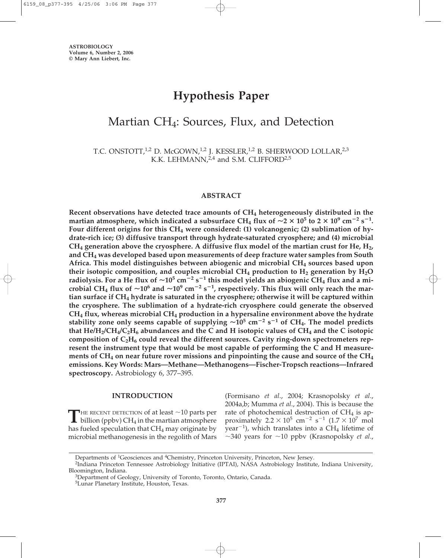# **Hypothesis Paper**

## Martian CH<sub>4</sub>: Sources, Flux, and Detection

T.C. ONSTOTT,<sup>1,2</sup> D. McGOWN,<sup>1,2</sup> J. KESSLER,<sup>1,2</sup> B. SHERWOOD LOLLAR,<sup>2,3</sup> K.K. LEHMANN,<sup>2,4</sup> and S.M. CLIFFORD<sup>2,5</sup>

#### **ABSTRACT**

**Recent observations have detected trace amounts of CH4 heterogeneously distributed in the martian atmosphere, which indicated a subsurface CH<sub>4</sub> flux of**  $\sim$ **2**  $\times$  **10<sup>5</sup> to 2**  $\times$  **10<sup>9</sup> cm<sup>-2</sup> s<sup>-1</sup>. Four different origins for this CH4 were considered: (1) volcanogenic; (2) sublimation of hydrate-rich ice; (3) diffusive transport through hydrate-saturated cryosphere; and (4) microbial**  $CH_4$  generation above the cryosphere. A diffusive flux model of the martian crust for He,  $H_2$ , **and CH4 was developed based upon measurements of deep fracture water samples from South Africa. This model distinguishes between abiogenic and microbial CH4 sources based upon** their isotopic composition, and couples microbial CH<sub>4</sub> production to H<sub>2</sub> generation by H<sub>2</sub>O <code>radiolysis. For a He flux of  $\sim$ 10 $^5$  cm $^{-2}$  s $^{-1}$  this model yields an abiogenic CH $_4$  flux and a mi-</mark></code> crobial CH<sub>4</sub> flux of  $\sim$ 10<sup>6</sup> and  $\sim$ 10<sup>9</sup> cm<sup>-2</sup> s<sup>-1</sup>, respectively. This flux will only reach the mar**tian surface if CH4 hydrate is saturated in the cryosphere; otherwise it will be captured within the cryosphere. The sublimation of a hydrate-rich cryosphere could generate the observed CH4 flux, whereas microbial CH4 production in a hypersaline environment above the hydrate stability zone only seems capable of supplying 105 cm**-**<sup>2</sup> s**-**<sup>1</sup> of CH4. The model predicts that He/H2/CH4/C2H6 abundances and the C and H isotopic values of CH4 and the C isotopic** composition of C<sub>2</sub>H<sub>6</sub> could reveal the different sources. Cavity ring-down spectrometers rep**resent the instrument type that would be most capable of performing the C and H measurements of CH4 on near future rover missions and pinpointing the cause and source of the CH4 emissions. Key Words: Mars—Methane—Methanogens—Fischer-Tropsch reactions—Infrared spectroscopy.** Astrobiology 6, 377–395.

#### **INTRODUCTION**

THE RECENT DETECTION of at least  $\sim$  10 parts per billion (ppbv) CH<sub>4</sub> in the martian atmosphere has fueled speculation that  $CH_4$  may originate by microbial methanogenesis in the regolith of Mars (Formisano *et al*., 2004; Krasnopolsky *et al*., 2004a,b; Mumma *et al*., 2004). This is because the rate of photochemical destruction of  $CH<sub>4</sub>$  is approximately  $2.2 \times 10^5$  cm<sup>-2</sup> s<sup>-1</sup>  $(1.7 \times 10^7$  mol  $year^{-1}$ ), which translates into a  $CH_4$  lifetime of  $\sim$ 340 years for  $\sim$ 10 ppbv (Krasnopolsky *et al.*,

Departments of <sup>1</sup>Geosciences and <sup>4</sup>Chemistry, Princeton University, Princeton, New Jersey.<br><sup>2</sup>Indiana Princeton Tennessee Astrobiology Initiative (IPTAI), NASA Astrobiology Institute, Indiana University,<br>Bloomington, Ind

<sup>&</sup>lt;sup>3</sup>Department of Geology, University of Toronto, Toronto, Ontario, Canada.

<sup>5</sup>Lunar Planetary Institute, Houston, Texas.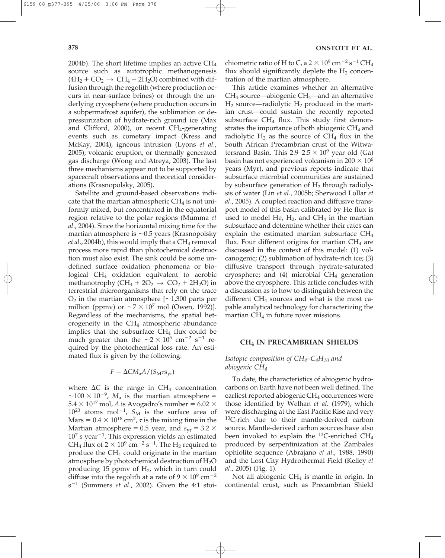2004b). The short lifetime implies an active CH4 source such as autotrophic methanogenesis  $(4H_2 + CO_2 \rightarrow CH_4 + 2H_2O)$  combined with diffusion through the regolith (where production occurs in near-surface brines) or through the underlying cryosphere (where production occurs in a subpermafrost aquifer), the sublimation or depressurization of hydrate-rich ground ice (Max and Clifford, 2000), or recent  $CH_4$ -generating events such as cometary impact (Kress and McKay, 2004), igneous intrusion (Lyons *et al*., 2005), volcanic eruption, or thermally generated gas discharge (Wong and Atreya, 2003). The last three mechanisms appear not to be supported by spacecraft observations and theoretical considerations (Krasnopolsky, 2005).

Satellite and ground-based observations indicate that the martian atmospheric  $CH<sub>4</sub>$  is not uniformly mixed, but concentrated in the equatorial region relative to the polar regions (Mumma *et al*., 2004). Since the horizontal mixing time for the martian atmosphere is  $\sim$ 0.5 years (Krasnopolsky *et al.*, 2004b), this would imply that a  $CH_4$  removal process more rapid than photochemical destruction must also exist. The sink could be some undefined surface oxidation phenomena or biological CH<sub>4</sub> oxidation equivalent to aerobic methanotrophy (CH<sub>4</sub> +  $2O_2 \rightarrow CO_2 + 2H_2O$ ) in terrestrial microorganisms that rely on the trace  $O_2$  in the martian atmosphere [ $\sim$ 1,300 parts per million (ppmv) or  $\sim$ 7  $\times$  10<sup>7</sup> mol (Owen, 1992)]. Regardless of the mechanisms, the spatial heterogeneity in the  $CH<sub>4</sub>$  atmospheric abundance implies that the subsurface  $CH<sub>4</sub>$  flux could be much greater than the  $\sim$ 2  $\times$  10<sup>5</sup> cm<sup>-2</sup> s<sup>-1</sup> required by the photochemical loss rate. An estimated flux is given by the following:

$$
F = \Delta C M_a A / (S_M \tau s_{yr})
$$

where  $\Delta C$  is the range in  $CH_4$  concentration  $\sim$ 100  $\times$  10<sup>-9</sup>,  $M_a$  is the martian atmosphere =  $5.4 \times 10^{17}$  mol, *A* is Avogadro's number = 6.02  $\times$  $10^{23}$  atoms mol<sup>-1</sup>,  $S_M$  is the surface area of Mars =  $0.4 \times 10^{18}$  cm<sup>2</sup>,  $\tau$  is the mixing time in the Martian atmosphere = 0.5 year, and  $s_{vr} = 3.2 \times$ 107 s year-1. This expression yields an estimated CH<sub>4</sub> flux of  $2 \times 10^9$  cm<sup>-2</sup> s<sup>-1</sup>. The H<sub>2</sub> required to produce the  $CH<sub>4</sub>$  could originate in the martian atmosphere by photochemical destruction of  $H_2O$ producing 15 ppmv of  $H<sub>2</sub>$ , which in turn could diffuse into the regolith at a rate of  $9 \times 10^9$  cm<sup>-2</sup> s-<sup>1</sup> (Summers *et al*., 2002). Given the 4:1 stoi-

chiometric ratio of H to C, a  $2 \times 10^9$  cm<sup>-2</sup> s<sup>-1</sup> CH<sub>4</sub> flux should significantly deplete the  $H_2$  concentration of the martian atmosphere.

This article examines whether an alternative  $CH<sub>4</sub>$  source—abiogenic  $CH<sub>4</sub>$ —and an alternative  $H_2$  source—radiolytic  $H_2$  produced in the martian crust—could sustain the recently reported subsurface  $CH_4$  flux. This study first demonstrates the importance of both abiogenic  $CH<sub>4</sub>$  and radiolytic  $H_2$  as the source of CH<sub>4</sub> flux in the South African Precambrian crust of the Witwatersrand Basin. This  $2.9-2.5 \times 10^9$  year old (Ga) basin has not experienced volcanism in  $200 \times 10^6$ years (Myr), and previous reports indicate that subsurface microbial communities are sustained by subsurface generation of  $H_2$  through radiolysis of water (Lin *et al*., 2005b; Sherwood Lollar *et al*., 2005). A coupled reaction and diffusive transport model of this basin calibrated by He flux is used to model He,  $H_2$ , and CH<sub>4</sub> in the martian subsurface and determine whether their rates can explain the estimated martian subsurface  $CH_4$ flux. Four different origins for martian  $CH<sub>4</sub>$  are discussed in the context of this model: (1) volcanogenic; (2) sublimation of hydrate-rich ice; (3) diffusive transport through hydrate-saturated cryosphere; and  $(4)$  microbial CH<sub>4</sub> generation above the cryosphere. This article concludes with a discussion as to how to distinguish between the different  $CH_4$  sources and what is the most capable analytical technology for characterizing the martian  $CH<sub>4</sub>$  in future rover missions.

### **CH4 IN PRECAMBRIAN SHIELDS**

*Isotopic composition of CH4–C4H10 and abiogenic CH4*

To date, the characteristics of abiogenic hydrocarbons on Earth have not been well defined. The earliest reported abiogenic  $CH<sub>4</sub>$  occurrences were those identified by Welhan *et al*. (1979), which were discharging at the East Pacific Rise and very  ${}^{13}C$ -rich due to their mantle-derived carbon source. Mantle-derived carbon sources have also been invoked to explain the <sup>13</sup>C-enriched CH<sub>4</sub> produced by serpentinization at the Zambales ophiolite sequence (Abrajano *et al*., 1988, 1990) and the Lost City Hydrothermal Field (Kelley *et al*., 2005) (Fig. 1).

Not all abiogenic  $CH<sub>4</sub>$  is mantle in origin. In continental crust, such as Precambrian Shield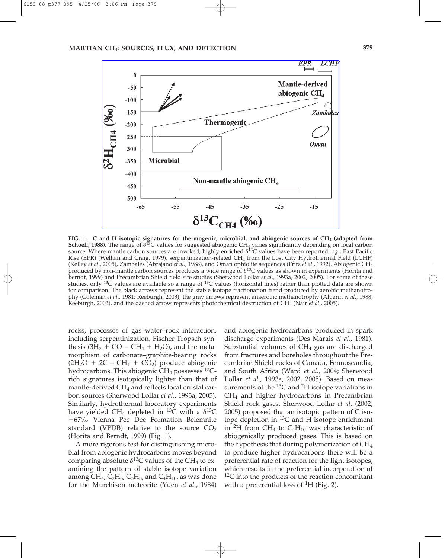

**FIG. 1. C and H isotopic signatures for thermogenic, microbial, and abiogenic sources of CH4 (adapted from Schoell, 1988).** The range of  $\delta^{13}C$  values for suggested abiogenic CH<sub>4</sub> varies significantly depending on local carbon source. Where mantle carbon sources are invoked, highly enriched  $\delta^{13}$ C values have been reported, *e.g.*, East Pacific Rise (EPR) (Welhan and Craig, 1979), serpentinization-related CH4 from the Lost City Hydrothermal Field (LCHF) (Kelley *et al*., 2005), Zambales (Abrajano *et al*., 1988), and Oman ophiolite sequences (Fritz *et al*., 1992). Abiogenic CH4 produced by non-mantle carbon sources produces a wide range of  $\delta^{13}C$  values as shown in experiments (Horita and Berndt, 1999) and Precambrian Shield field site studies (Sherwood Lollar *et al*., 1993a, 2002, 2005). For some of these studies, only <sup>13</sup>C values are available so a range of <sup>13</sup>C values (horizontal lines) rather than plotted data are shown for comparison. The black arrows represent the stable isotope fractionation trend produced by aerobic methanotrophy (Coleman *et al*., 1981; Reeburgh, 2003), the gray arrows represent anaerobic methanotrophy (Alperin *et al*., 1988; Reeburgh, 2003), and the dashed arrow represents photochemical destruction of CH4 (Nair *et al*., 2005).

rocks, processes of gas–water–rock interaction, including serpentinization, Fischer-Tropsch synthesis  $(3H_2 + CO = CH_4 + H_2O)$ , and the metamorphism of carbonate–graphite-bearing rocks  $(2H<sub>2</sub>O + 2C = CH<sub>4</sub> + CO<sub>2</sub>)$  produce abiogenic hydrocarbons. This abiogenic  $CH_4$  possesses  $^{12}C$ rich signatures isotopically lighter than that of mantle-derived CH<sub>4</sub> and reflects local crustal carbon sources (Sherwood Lollar *et al*., 1993a, 2005). Similarly, hydrothermal laboratory experiments have yielded CH<sub>4</sub> depleted in <sup>13</sup>C with a  $\delta^{13}$ C -67‰ Vienna Pee Dee Formation Belemnite standard (VPDB) relative to the source CO*<sup>2</sup>* (Horita and Berndt, 1999) (Fig. 1).

A more rigorous test for distinguishing microbial from abiogenic hydrocarbons moves beyond comparing absolute  $\delta^{13}$ C values of the CH<sub>4</sub> to examining the pattern of stable isotope variation among CH<sub>4</sub>, C<sub>2</sub>H<sub>6</sub>, C<sub>3</sub>H<sub>8</sub>, and C<sub>4</sub>H<sub>10</sub>, as was done for the Murchison meteorite (Yuen *et al*., 1984) and abiogenic hydrocarbons produced in spark discharge experiments (Des Marais *et al*., 1981). Substantial volumes of  $CH<sub>4</sub>$  gas are discharged from fractures and boreholes throughout the Precambrian Shield rocks of Canada, Fennoscandia, and South Africa (Ward *et al*., 2004; Sherwood Lollar *et al*., 1993a, 2002, 2005). Based on measurements of the  $^{13}C$  and <sup>2</sup>H isotope variations in  $CH<sub>4</sub>$  and higher hydrocarbons in Precambrian Shield rock gases, Sherwood Lollar *et al*. (2002, 2005) proposed that an isotopic pattern of C isotope depletion in  ${}^{13}C$  and H isotope enrichment in <sup>2</sup>H from CH<sub>4</sub> to C<sub>4</sub>H<sub>10</sub> was characteristic of abiogenically produced gases. This is based on the hypothesis that during polymerization of  $CH<sub>4</sub>$ to produce higher hydrocarbons there will be a preferential rate of reaction for the light isotopes, which results in the preferential incorporation of  ${}^{12}C$  into the products of the reaction concomitant with a preferential loss of  ${}^{1}H$  (Fig. 2).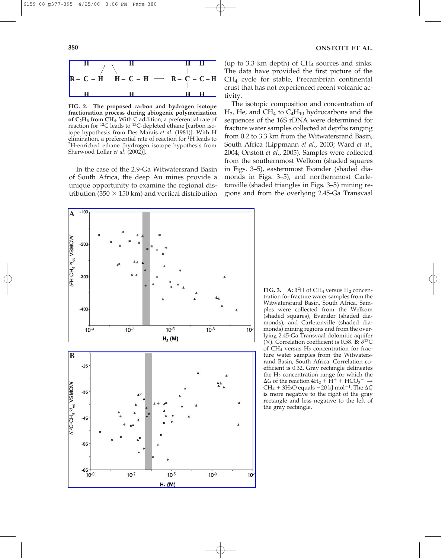

**FIG. 2. The proposed carbon and hydrogen isotope fractionation process during abiogenic polymerization of C2H6 from CH4.** With C addition, a preferential rate of reaction for  ${}^{12}C$  leads to  ${}^{13}C$ -depleted ethane [carbon isotope hypothesis from Des Marais *et al*. (1981)]. With H elimination, a preferential rate of reaction for 1H leads to 2H-enriched ethane [hydrogen isotope hypothesis from Sherwood Lollar *et al*. (2002)].

In the case of the 2.9-Ga Witwatersrand Basin of South Africa, the deep Au mines provide a unique opportunity to examine the regional distribution (350  $\times$  150 km) and vertical distribution (up to 3.3 km depth) of  $CH<sub>4</sub>$  sources and sinks. The data have provided the first picture of the CH4 cycle for stable, Precambrian continental crust that has not experienced recent volcanic activity.

The isotopic composition and concentration of  $H<sub>2</sub>$ , He, and CH<sub>4</sub> to C<sub>4</sub>H<sub>10</sub> hydrocarbons and the sequences of the 16S rDNA were determined for fracture water samples collected at depths ranging from 0.2 to 3.3 km from the Witwatersrand Basin, South Africa (Lippmann *et al*., 2003; Ward *et al*., 2004; Onstott *et al*., 2005). Samples were collected from the southernmost Welkom (shaded squares in Figs. 3–5), easternmost Evander (shaded diamonds in Figs. 3–5), and northernmost Carletonville (shaded triangles in Figs. 3–5) mining regions and from the overlying 2.45-Ga Transvaal



**FIG. 3.** A:  $\delta^2$ H of CH<sub>4</sub> versus H<sub>2</sub> concentration for fracture water samples from the Witwatersrand Basin, South Africa. Samples were collected from the Welkom (shaded squares), Evander (shaded diamonds), and Carletonville (shaded diamonds) mining regions and from the overlying 2.45-Ga Transvaal dolomitic aquifer  $(\times)$ . Correlation coefficient is 0.58. **B:**  $\delta^{13}$ C of  $CH_4$  versus  $H_2$  concentration for fracture water samples from the Witwatersrand Basin, South Africa. Correlation coefficient is 0.32. Gray rectangle delineates the  $H_2$  concentration range for which the  $\Delta G$  of the reaction  $4H_2 + \check{H}^+ + HCO_3^- \rightarrow$ CH<sub>4</sub> + 3H<sub>2</sub>O equals  $-20$  kJ mol<sup>-1</sup>. The  $\Delta G$ is more negative to the right of the gray rectangle and less negative to the left of the gray rectangle.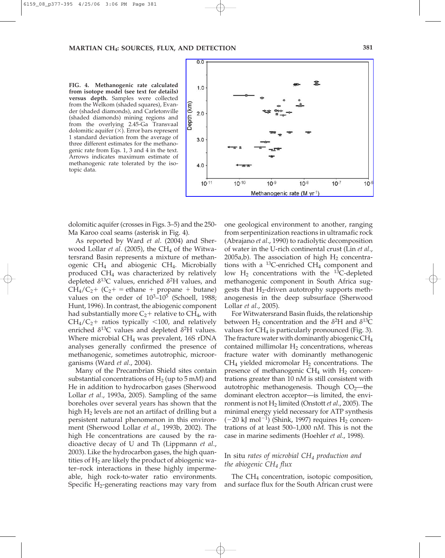**FIG. 4. Methanogenic rate calculated from isotope model (see text for details) versus depth.** Samples were collected from the Welkom (shaded squares), Evander (shaded diamonds), and Carletonville (shaded diamonds) mining regions and from the overlying 2.45-Ga Transvaal dolomitic aquifer  $(X)$ . Error bars represent 1 standard deviation from the average of three different estimates for the methanogenic rate from Eqs. 1, 3 and 4 in the text. Arrows indicates maximum estimate of methanogenic rate tolerated by the isotopic data.



dolomitic aquifer (crosses in Figs. 3–5) and the 250- Ma Karoo coal seams (asterisk in Fig. 4).

As reported by Ward *et al*. (2004) and Sherwood Lollar *et al.* (2005), the CH<sub>4</sub> of the Witwatersrand Basin represents a mixture of methanogenic CH4 and abiogenic CH4. Microbially produced CH4 was characterized by relatively depleted  $\delta^{13}$ C values, enriched  $\delta^2$ H values, and  $CH_4/C_2$  +  $(C_2$  + = ethane + propane + butane) values on the order of  $10^3$ -10<sup>5</sup> (Schoell, 1988; Hunt, 1996). In contrast, the abiogenic component had substantially more  $C_2$ + relative to CH<sub>4</sub>, with  $CH_4/C_2$ + ratios typically <100, and relatively enriched  $\delta^{13}$ C values and depleted  $\delta^2$ H values. Where microbial CH<sub>4</sub> was prevalent, 16S rDNA analyses generally confirmed the presence of methanogenic, sometimes autotrophic, microorganisms (Ward *et al*., 2004).

Many of the Precambrian Shield sites contain substantial concentrations of  $H_2$  (up to 5 mM) and He in addition to hydrocarbon gases (Sherwood Lollar *et al*., 1993a, 2005). Sampling of the same boreholes over several years has shown that the high  $H_2$  levels are not an artifact of drilling but a persistent natural phenomenon in this environment (Sherwood Lollar *et al*., 1993b, 2002). The high He concentrations are caused by the radioactive decay of U and Th (Lippmann *et al*., 2003). Like the hydrocarbon gases, the high quantities of  $H_2$  are likely the product of abiogenic water–rock interactions in these highly impermeable, high rock-to-water ratio environments. Specific  $H_2$ -generating reactions may vary from one geological environment to another, ranging from serpentinization reactions in ultramafic rock (Abrajano *et al*., 1990) to radiolytic decomposition of water in the U-rich continental crust (Lin *et al*., 2005a,b). The association of high  $H_2$  concentrations with a  $^{13}$ C-enriched CH<sub>4</sub> component and low  $H_2$  concentrations with the <sup>13</sup>C-depleted methanogenic component in South Africa suggests that H2-driven autotrophy supports methanogenesis in the deep subsurface (Sherwood Lollar *et al*., 2005).

For Witwatersrand Basin fluids, the relationship between  $H_2$  concentration and the  $\delta^2H$  and  $\delta^{13}C$ values for  $CH_4$  is particularly pronounced (Fig. 3). The fracture water with dominantly abiogenic  $CH_4$ contained millimolar  $H_2$  concentrations, whereas fracture water with dominantly methanogenic  $CH<sub>4</sub>$  yielded micromolar  $H<sub>2</sub>$  concentrations. The presence of methanogenic  $CH_4$  with  $H_2$  concentrations greater than 10 n*M* is still consistent with autotrophic methanogenesis. Though  $CO<sub>2</sub>$ —the dominant electron acceptor—is limited, the environment is not H2 limited (Onstott *et al*., 2005). The minimal energy yield necessary for ATP synthesis  $(-20 \text{ kJ mol}^{-1})$  (Shink, 1997) requires  $H_2$  concentrations of at least 500–1,000 n*M*. This is not the case in marine sediments (Hoehler *et al*., 1998).

## In situ *rates of microbial CH4 production and the abiogenic CH4 flux*

The  $CH<sub>4</sub>$  concentration, isotopic composition, and surface flux for the South African crust were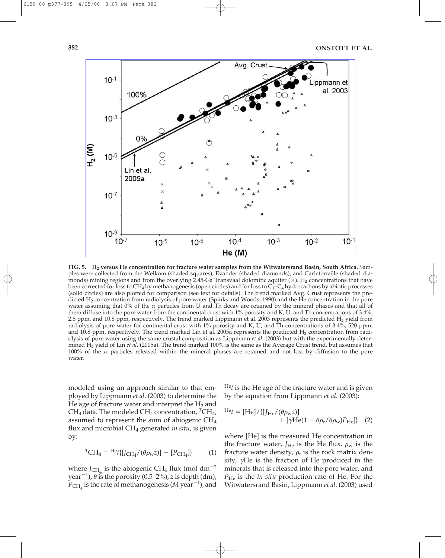

**FIG. 5. H2 versus He concentration for fracture water samples from the Witwatersrand Basin, South Africa.** Samples were collected from the Welkom (shaded squares), Evander (shaded diamonds), and Carletonville (shaded diamonds) mining regions and from the overlying 2.45-Ga Transvaal dolomitic aquifer  $(\times)$ . H<sub>2</sub> concentrations that have been corrected for loss to  $CH_4$  by methanogenesis (open circles) and for loss to  $C_1-C_4$  hydrocarbons by abiotic processes (solid circles) are also plotted for comparison (see text for details). The trend marked Avg. Crust represents the predicted H2 concentration from radiolysis of pore water (Spinks and Woods, 1990) and the He concentration in the pore water assuming that 0% of the  $\alpha$  particles from U and Th decay are retained by the mineral phases and that all of them diffuse into the pore water from the continental crust with 1% porosity and K, U, and Th concentrations of 3.4%, 2.8 ppm, and 10.8 ppm, respectively. The trend marked Lippmann et al. 2003 represents the predicted  $H_2$  yield from radiolysis of pore water for continental crust with 1% porosity and K, U, and Th concentrations of 3.4%, 520 ppm, and 10.8 ppm, respectively. The trend marked Lin et al. 2005a represents the predicted H<sub>2</sub> concentration from radiolysis of pore water using the same crustal composition as Lippmann *et al.* (2003) but with the experimentally determined H2 yield of Lin *et al*. (2005a). The trend marked 100% is the same as the Average Crust trend, but assumes that 100% of the  $\alpha$  particles released within the mineral phases are retained and not lost by diffusion to the pore water.

modeled using an approach similar to that employed by Lippmann *et al*. (2003) to determine the He age of fracture water and interpret the  $H_2$  and CH<sub>4</sub> data. The modeled CH<sub>4</sub> concentration, <sup>T</sup>CH<sub>4</sub>, assumed to represent the sum of abiogenic CH4 flux and microbial CH4 generated *in situ*, is given by:

$$
{}^{T}CH_{4} = {}^{He}t\{[J_{CH_{4}}/(\theta \rho_{w} z)] + [P_{CH_{4}}]\}\qquad (1)
$$

where  $J_{CH_4}$  is the abiogenic CH<sub>4</sub> flux (mol dm<sup>-2</sup>) year<sup>-1</sup>),  $\theta$  is the porosity (0.5–2%), *z* is depth (dm),  $P_{\text{CH}_4}$  is the rate of methanogenesis (*M* year<sup>-1</sup>), and He*t* is the He age of the fracture water and is given by the equation from Lippmann *et al*. (2003):

$$
{}^{He}t = [He]/\{[J_{He}/(\theta \rho_w z)] + [\gamma He(1 - \theta \rho_r/\theta \rho_w)P_{He}]\} (2)
$$

where [He] is the measured He concentration in the fracture water,  $J_{\text{He}}$  is the He flux,  $\rho_{\text{w}}$  is the fracture water density,  $\rho_r$  is the rock matrix density,  $\gamma$ He is the fraction of He produced in the minerals that is released into the pore water, and *P*<sub>He</sub> is the *in situ* production rate of He. For the Witwatersrand Basin, Lippmann *et al*. (2003) used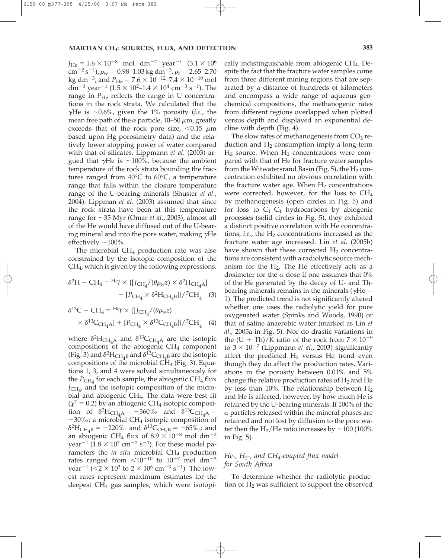$J_{\text{He}} = 1.6 \times 10^{-8} \text{ mol } \text{dm}^{-2} \text{ year}^{-1} (3.1 \times 10^{6})$ cm<sup>-2</sup> s<sup>-1</sup>),  $\rho_{\rm w}$  = 0.98–1.03 kg dm<sup>-3</sup>,  $\rho_{\rm r}$  = 2.65–2.70 kg dm<sup>-3</sup>, and  $P_{\text{He}} = 7.6 \times 10^{-12} - 7.4 \times 10^{-10} \text{ mol}$ dm<sup>-3</sup> year<sup>-1</sup> (1.5  $\times$  10<sup>2</sup>-1.4  $\times$  10<sup>4</sup> cm<sup>-3</sup> s<sup>-1</sup>). The range in  $P_{\text{He}}$  reflects the range in U concentrations in the rock strata. We calculated that the  $\gamma$ He is  $\sim$ 0.6%, given the 1% porosity (*i.e.*, the mean free path of the  $\alpha$  particle, 10–50  $\mu$ m, greatly exceeds that of the rock pore size,  $< 0.15 \mu m$ based upon Hg porosimetry data) and the relatively lower stopping power of water compared with that of silicates. Lippmann *et al*. (2003) argued that  $\gamma$ He is ~100%, because the ambient temperature of the rock strata bounding the fractures ranged from 40°C to 60°C, a temperature range that falls within the closure temperature range of the U-bearing minerals (Shuster *et al*., 2004). Lippman *et al*. (2003) assumed that since the rock strata have been at this temperature range for 35 Myr (Omar *et al*., 2003), almost all of the He would have diffused out of the U-bearing mineral and into the pore water, making  $\gamma$ He effectively  $\sim$ 100%.

The microbial  $CH_4$  production rate was also constrained by the isotopic composition of the CH4, which is given by the following expressions:

$$
\delta^2 H - CH_4 = H_{\rm} \times \{ [J_{\rm CH_4}/(\theta \rho_{\rm w} z) \times \delta^2 H_{\rm CH_4 A}] + [P_{\rm CH_4} \times \delta^2 H_{\rm CH_4 B}] \} / {}^T \rm CH_4
$$
 (3)

$$
\delta^{13}C - CH_4 = ^{\text{He}_{t}} \times \{ [J_{\text{CH}_{4}}/(\theta \rho_{\text{w}}z) \times \delta^{13}C_{\text{CH}_{4}\text{A}}] + [P_{\text{CH}_{4}} \times \delta^{13}C_{\text{CH}_{4}\text{B}}] \} / ^{T}\text{CH}_{4} \quad (4)
$$

where  $\delta^2 H_{\text{CH}_4\text{A}}$  and  $\delta^{13}\text{C}_{\text{CH}_4\text{A}}$  are the isotopic compositions of the abiogenic  $CH<sub>4</sub>$  component (Fig. 3) and  $\delta^2 H_{\text{CH}_4B}$  and  $\delta^{13}C_{\text{CH}_4B}$  are the isotopic compositions of the microbial  $CH<sub>4</sub>$  (Fig. 3). Equations 1, 3, and 4 were solved simultaneously for the  $P_{\text{CH}_4}$  for each sample, the abiogenic CH<sub>4</sub> flux  $J_{\text{CH}_{4'}}$  and the isotopic composition of the microbial and abiogenic CH4. The data were best fit  $(\chi^2 = 0.2)$  by an abiogenic CH<sub>4</sub> isotopic composition of  $\delta^2 H_{\text{CH}_4A} = -360\%$  and  $\delta^{13}C_{\text{CH}_4A} =$ -30‰; a microbial CH4 isotopic composition of  $\delta^2$ H<sub>CH<sub>4</sub>B</sub> = -220‰ and  $\delta^{13}$ C<sub>CH<sub>4</sub>B = -65‰; and</sub> an abiogenic CH<sub>4</sub> flux of  $8.9 \times 10^{-8}$  mol dm<sup>-2</sup> year<sup>-1</sup> (1.8  $\times$  10<sup>7</sup> cm<sup>-2</sup> s<sup>-1</sup>). For these model parameters the *in situ* microbial CH<sub>4</sub> production rates ranged from  $\leq 10^{-10}$  to  $10^{-7}$  mol dm<sup>-3</sup> year<sup>-1</sup> ( $\leq$ 2  $\times$  10<sup>3</sup> to 2  $\times$  10<sup>6</sup> cm<sup>-3</sup> s<sup>-1</sup>). The lowest rates represent maximum estimates for the deepest  $CH_4$  gas samples, which were isotopically indistinguishable from abiogenic CH4. Despite the fact that the fracture water samples come from three different mining regions that are separated by a distance of hundreds of kilometers and encompass a wide range of aqueous geochemical compositions, the methanogenic rates from different regions overlapped when plotted versus depth and displayed an exponential decline with depth (Fig. 4).

The slow rates of methanogenesis from  $CO<sub>2</sub>$  reduction and  $H_2$  consumption imply a long-term  $H_2$  source. When  $H_2$  concentrations were compared with that of He for fracture water samples from the Witwatersrand Basin (Fig. 5), the  $H_2$  concentration exhibited no obvious correlation with the fracture water age. When  $H_2$  concentrations were corrected, however, for the loss to CH4 by methanogenesis (open circles in Fig. 5) and for loss to  $C_1-C_4$  hydrocarbons by abiogenic processes (solid circles in Fig. 5), they exhibited a distinct positive correlation with He concentrations, *i.e.*, the  $H_2$  concentrations increased as the fracture water age increased. Lin *et al*. (2005b) have shown that these corrected  $H_2$  concentrations are consistent with a radiolytic source mechanism for the  $H_2$ . The He effectively acts as a dosimeter for the  $\alpha$  dose if one assumes that 0% of the He generated by the decay of U- and Thbearing minerals remains in the minerals ( $\gamma$ He = 1). The predicted trend is not significantly altered whether one uses the radiolytic yield for pure oxygenated water (Spinks and Woods, 1990) or that of saline anaerobic water (marked as Lin *et al*., 2005a in Fig. 5). Nor do drastic variations in the  $(U + Th)/K$  ratio of the rock from  $7 \times 10^{-9}$ to  $3 \times 10^{-7}$  (Lippmann *et al.*, 2003) significantly affect the predicted  $H_2$  versus He trend even though they do affect the production rates. Variations in the porosity between 0.01% and 5% change the relative production rates of  $H_2$  and He by less than 10%. The relationship between  $H_2$ and He is affected, however, by how much He is retained by the U-bearing minerals. If 100% of the  $\alpha$  particles released within the mineral phases are retained and not lost by diffusion to the pore water then the  $H_2$ /He ratio increases by  $\sim$ 100 (100%) in Fig. 5).

## *He-, H2-, and CH4-coupled flux model for South Africa*

To determine whether the radiolytic production of  $H_2$  was sufficient to support the observed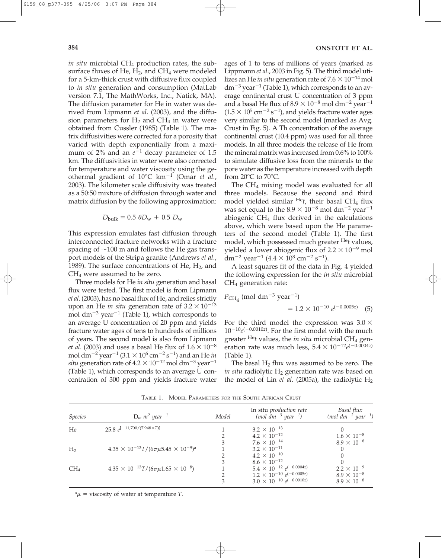*in situ* microbial CH<sub>4</sub> production rates, the subsurface fluxes of He,  $H_2$ , and CH<sub>4</sub> were modeled for a 5-km-thick crust with diffusive flux coupled to *in situ* generation and consumption (MatLab version 7.1, The MathWorks, Inc., Natick, MA). The diffusion parameter for He in water was derived from Lipmann *et al*. (2003), and the diffusion parameters for  $H_2$  and  $CH_4$  in water were obtained from Cussler (1985) (Table 1). The matrix diffusivities were corrected for a porosity that varied with depth exponentially from a maximum of 2% and an  $e^{-1}$  decay parameter of 1.5 km. The diffusivities in water were also corrected for temperature and water viscosity using the geothermal gradient of 10°C km-<sup>1</sup> (Omar *et al*., 2003). The kilometer scale diffusivity was treated as a 50:50 mixture of diffusion through water and matrix diffusion by the following approximation:

$$
D_{\text{bulk}} = 0.5 \ \theta D_{\text{w}} + 0.5 \ D_{\text{w}}
$$

This expression emulates fast diffusion through interconnected fracture networks with a fracture spacing of  $\sim$ 100 m and follows the He gas transport models of the Stripa granite (Andrews *et al*., 1989). The surface concentrations of He,  $H_2$ , and CH4 were assumed to be zero.

Three models for He *in situ* generation and basal flux were tested. The first model is from Lipmann *et al*. (2003), has no basal flux of He, and relies strictly upon an He *in situ* generation rate of  $3.2 \times 10^{-13}$ mol dm<sup>-3</sup> year<sup>-1</sup> (Table 1), which corresponds to an average U concentration of 20 ppm and yields fracture water ages of tens to hundreds of millions of years. The second model is also from Lipmann *et al.* (2003) and uses a basal He flux of  $1.6 \times 10^{-8}$ mol dm<sup>-2</sup> year<sup>-1</sup> (3.1  $\times$  10<sup>6</sup> cm<sup>-2</sup> s<sup>-1</sup>) and an He *in situ* generation rate of  $4.2 \times 10^{-12}$  mol dm<sup>-3</sup> year<sup>-1</sup> (Table 1), which corresponds to an average U concentration of 300 ppm and yields fracture water ages of 1 to tens of millions of years (marked as Lippmann *et al*., 2003 in Fig. 5). The third model utilizes an He *in situ* generation rate of  $7.6 \times 10^{-14}$  mol  $dm^{-3}$  year<sup>-1</sup> (Table 1), which corresponds to an average continental crust U concentration of 3 ppm and a basal He flux of  $8.9 \times 10^{-8}$  mol dm<sup>-2</sup> year<sup>-1</sup>  $(1.5 \times 10^5 \,\mathrm{cm}^{-2} \,\mathrm{s}^{-1})$ , and yields fracture water ages very similar to the second model (marked as Avg. Crust in Fig. 5). A Th concentration of the average continental crust (10.4 ppm) was used for all three models. In all three models the release of He from the mineral matrix was increased from 0.6% to 100% to simulate diffusive loss from the minerals to the pore water as the temperature increased with depth from  $20^{\circ}$ C to  $70^{\circ}$ C.

The CH4 mixing model was evaluated for all three models. Because the second and third model yielded similar  $He$ <sup>*He*</sup>*t*, their basal CH<sub>4</sub> flux was set equal to the  $8.9 \times 10^{-8}$  mol dm<sup>-2</sup> year<sup>-1</sup> abiogenic  $CH<sub>4</sub>$  flux derived in the calculations above, which were based upon the He parameters of the second model (Table 1). The first model, which possessed much greater He*t* values, yielded a lower abiogenic flux of  $2.2 \times 10^{-9}$  mol dm<sup>-2</sup> year<sup>-1</sup> (4.4  $\times$  10<sup>3</sup> cm<sup>-2</sup> s<sup>-1</sup>).

A least squares fit of the data in Fig. 4 yielded the following expression for the *in situ* microbial CH4 generation rate:

$$
P_{\text{CH}_4} \text{ (mol dm}^{-3} \text{ year}^{-1)}
$$
  
= 1.2 × 10<sup>-10</sup> e<sup>(-0.0005z)</sup> (5)

For the third model the expression was  $3.0 \times$  $10^{-10}e^{(-0.0010z)}$ . For the first model with the much greater <sup>He</sup>t values, the *in situ* microbial CH<sub>4</sub> generation rate was much less,  $5.4 \times 10^{-12} e^{(-0.0004z)}$ (Table 1).

The basal  $H_2$  flux was assumed to be zero. The *in situ* radiolytic H<sub>2</sub> generation rate was based on the model of Lin *et al.* (2005a), the radiolytic  $H_2$ 

| <b>Species</b>  | $D_w$ $m^2$ year <sup>-1</sup>                                        | Model | In situ production rate<br>$(mol \ dm^{-3} year^{-1})$ | Basal flux<br>$(mod \, dm^{-2} \, year^{-1})$ |
|-----------------|-----------------------------------------------------------------------|-------|--------------------------------------------------------|-----------------------------------------------|
| He              | 25.8 $e^{[-11,700/(7.948\times T)]}$                                  |       | $3.2 \times 10^{-13}$                                  |                                               |
|                 |                                                                       |       | $4.2 \times 10^{-12}$                                  | $1.6 \times 10^{-8}$                          |
|                 |                                                                       | 3     | $7.6 \times 10^{-14}$                                  | $8.9 \times 10^{-8}$                          |
| H <sub>2</sub>  | $4.35 \times 10^{-13} T / (6 \pi \mu 5.45 \times 10^{-9})^{\text{a}}$ |       | $3.2 \times 10^{-11}$                                  |                                               |
|                 |                                                                       |       | $4.2 \times 10^{-10}$                                  |                                               |
|                 |                                                                       | 3     | $8.6 \times 10^{-12}$                                  |                                               |
| CH <sub>4</sub> | $4.35 \times 10^{-13} T / (6 \pi \mu 1.65 \times 10^{-8})$            |       | $5.4 \times 10^{-12} e^{(-0.0004z)}$                   | $2.2 \times 10^{-9}$                          |
|                 |                                                                       |       | $1.2 \times 10^{-10}$ e <sup>(-0.0005z)</sup>          | $8.9 \times 10^{-8}$                          |
|                 |                                                                       | 3     | $3.0 \times 10^{-10} e^{(-0.0010z)}$                   | $8.9 \times 10^{-8}$                          |

TABLE 1. MODEL PARAMETERS FOR THE SOUTH AFRICAN CRUST

 $^a\mu$  = viscosity of water at temperature *T*.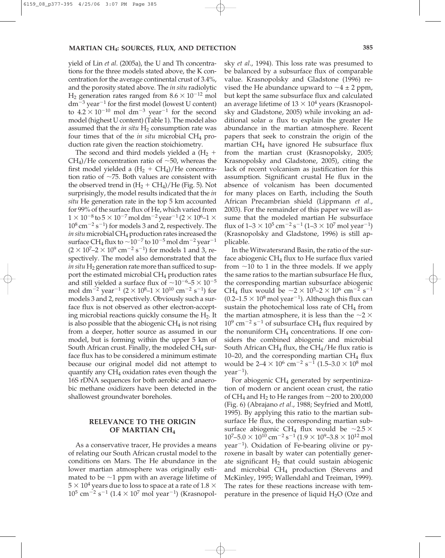yield of Lin *et al*. (2005a), the U and Th concentrations for the three models stated above, the K concentration for the average continental crust of 3.4%, and the porosity stated above. The *in situ* radiolytic  $H_2$  generation rates ranged from  $8.6 \times 10^{-12}$  mol  $dm^{-3}$  year<sup>-1</sup> for the first model (lowest U content) to  $4.2 \times 10^{-10}$  mol dm<sup>-3</sup> year<sup>-1</sup> for the second model (highest U content) (Table 1). The model also assumed that the *in situ*  $H_2$  consumption rate was four times that of the *in situ* microbial CH<sub>4</sub> production rate given the reaction stoichiometry.

The second and third models yielded a  $(H_2 +$  $CH<sub>4</sub>$ /He concentration ratio of  $~50$ , whereas the first model yielded a  $(H_2 + CH_4)/He$  concentration ratio of  $\sim$ 75. Both values are consistent with the observed trend in  $(H_2 + CH_4)/He$  (Fig. 5). Not surprisingly, the model results indicated that the *in situ* He generation rate in the top 5 km accounted for 99% of the surface flux of He, which varied from  $1 \times 10^{-8}$  to  $5 \times 10^{-7}$  mol dm<sup>-2</sup> year<sup>-1</sup> (2  $\times$  10<sup>6</sup>-1  $\times$  $10^8 \,\mathrm{cm}^{-2} \,\mathrm{s}^{-1}$ ) for models 3 and 2, respectively. The *in situ* microbial CH<sub>4</sub> production rates increased the surface CH<sub>4</sub> flux to  $\sim$   $10^{-7}$  to  $10^{-5}$  mol dm<sup>-2</sup> year<sup>-1</sup>  $(2 \times 10^{7} - 2 \times 10^{9} \text{ cm}^{-2} \text{ s}^{-1})$  for models 1 and 3, respectively. The model also demonstrated that the *in situ* H<sub>2</sub> generation rate more than sufficed to support the estimated microbial  $CH_4$  production rates and still yielded a surface flux of  $\sim$ 10<sup>-6</sup>-5  $\times$  10<sup>-5</sup> mol dm<sup>-2</sup> year<sup>-1</sup> (2 × 10<sup>8</sup>-1 × 10<sup>10</sup> cm<sup>-2</sup> s<sup>-1</sup>) for models 3 and 2, respectively. Obviously such a surface flux is not observed as other electron-accepting microbial reactions quickly consume the  $H_2$ . It is also possible that the abiogenic  $CH<sub>4</sub>$  is not rising from a deeper, hotter source as assumed in our model, but is forming within the upper 5 km of South African crust. Finally, the modeled  $CH_4$  surface flux has to be considered a minimum estimate because our original model did not attempt to quantify any  $CH_4$  oxidation rates even though the 16S rDNA sequences for both aerobic and anaerobic methane oxidizers have been detected in the shallowest groundwater boreholes.

## **RELEVANCE TO THE ORIGIN OF MARTIAN CH4**

As a conservative tracer, He provides a means of relating our South African crustal model to the conditions on Mars. The He abundance in the lower martian atmosphere was originally estimated to be  $\sim$ 1 ppm with an average lifetime of  $5 \times 10^4$  years due to loss to space at a rate of 1.8  $\times$  $10^5$  cm<sup>-2</sup> s<sup>-1</sup> (1.4  $\times$  10<sup>7</sup> mol year<sup>-1</sup>) (Krasnopolsky *et al*., 1994). This loss rate was presumed to be balanced by a subsurface flux of comparable value. Krasnopolsky and Gladstone (1996) revised the He abundance upward to  $\sim$ 4  $\pm$  2 ppm, but kept the same subsurface flux and calculated an average lifetime of  $13 \times 10^4$  years (Krasnopolsky and Gladstone, 2005) while invoking an additional solar  $\alpha$  flux to explain the greater He abundance in the martian atmosphere. Recent papers that seek to constrain the origin of the martian  $CH<sub>4</sub>$  have ignored He subsurface flux from the martian crust (Krasnopolsky, 2005; Krasnopolsky and Gladstone, 2005), citing the lack of recent volcanism as justification for this assumption. Significant crustal He flux in the absence of volcanism has been documented for many places on Earth, including the South African Precambrian shield (Lippmann *et al*., 2003). For the remainder of this paper we will assume that the modeled martian He subsurface flux of  $1-3 \times 10^5$  cm $^{-2}$  s $^{-1}$  ( $1-3 \times 10^7$  mol year $^{-1}$ ) (Krasnopolsky and Gladstone, 1996) is still applicable.

In the Witwatersrand Basin, the ratio of the surface abiogenic CH<sub>4</sub> flux to He surface flux varied from  $\sim$ 10 to 1 in the three models. If we apply the same ratios to the martian subsurface He flux, the corresponding martian subsurface abiogenic CH<sub>4</sub> flux would be  $\sim 2 \times 10^5 - 2 \times 10^6$  cm<sup>-2</sup> s<sup>-1</sup>  $(0.2-1.5 \times 10^8 \,\text{mol} \,\text{year}^{-1})$ . Although this flux can sustain the photochemical loss rate of  $CH<sub>4</sub>$  from the martian atmosphere, it is less than the  $\sim$ 2  $\times$  $10^9$  cm<sup>-2</sup> s<sup>-1</sup> of subsurface CH<sub>4</sub> flux required by the nonuniform  $CH_4$  concentrations. If one considers the combined abiogenic and microbial South African CH<sub>4</sub> flux, the CH<sub>4</sub>/He flux ratio is 10–20, and the corresponding martian  $CH<sub>4</sub>$  flux would be  $2-4 \times 10^6$  cm<sup>-2</sup> s<sup>-1</sup> (1.5–3.0  $\times$  10<sup>8</sup> mol  $year^{-1}$ ).

For abiogenic CH<sub>4</sub> generated by serpentinization of modern or ancient ocean crust, the ratio of CH<sub>4</sub> and H<sub>2</sub> to He ranges from  $\sim$ 200 to 200,000 (Fig. 6) (Abrajano *et al*., 1988; Seyfried and Mottl, 1995). By applying this ratio to the martian subsurface He flux, the corresponding martian subsurface abiogenic CH<sub>4</sub> flux would be  $\sim$ 2.5  $\times$  $10^7$ – $5.0 \times 10^{10}$  cm $^{-2}$  s $^{-1}$  (1.9  $\times$   $10^9$ –3.8  $\times$   $10^{12}$  mol year-1). Oxidation of Fe-bearing olivine or pyroxene in basalt by water can potentially generate significant  $H_2$  that could sustain abiogenic and microbial  $CH_4$  production (Stevens and McKinley, 1995; Wallendahl and Treiman, 1999). The rates for these reactions increase with temperature in the presence of liquid  $H_2O$  (Oze and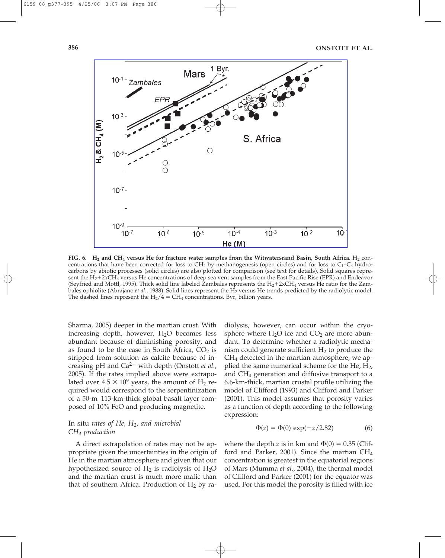

FIG. 6.  $H_2$  and CH<sub>4</sub> versus He for fracture water samples from the Witwatersrand Basin, South Africa.  $H_2$  concentrations that have been corrected for loss to  $CH_4$  by methanogenesis (open circles) and for loss to  $C_1-C_4$  hydrocarbons by abiotic processes (solid circles) are also plotted for comparison (see text for details). Solid squares represent the H<sub>2</sub>+2*x*CH<sub>4</sub> versus He concentrations of deep sea vent samples from the East Pacific Rise (EPR) and Endeavor (Seyfried and Mottl, 1995). Thick solid line labeled Zambales represents the  $H_2+2xCH_4$  versus He ratio for the Zambales ophiolite (Abrajano *et al.*, 1988). Solid lines represent the H<sub>2</sub> versus He trends predicted by the radiolytic model. The dashed lines represent the  $H_2/4 = CH_4$  concentrations. Byr, billion years.

Sharma, 2005) deeper in the martian crust. With increasing depth, however,  $H<sub>2</sub>O$  becomes less abundant because of diminishing porosity, and as found to be the case in South Africa,  $CO<sub>2</sub>$  is stripped from solution as calcite because of increasing pH and Ca<sup>2+</sup> with depth (Onstott *et al.*, 2005). If the rates implied above were extrapolated over  $4.5 \times 10^9$  years, the amount of H<sub>2</sub> required would correspond to the serpentinization of a 50-m–113-km-thick global basalt layer composed of 10% FeO and producing magnetite.

## In situ *rates of He, H2, and microbial CH4 production*

A direct extrapolation of rates may not be appropriate given the uncertainties in the origin of He in the martian atmosphere and given that our hypothesized source of  $H_2$  is radiolysis of  $H_2O$ and the martian crust is much more mafic than that of southern Africa. Production of  $H_2$  by radiolysis, however, can occur within the cryosphere where  $H_2O$  ice and  $CO_2$  are more abundant. To determine whether a radiolytic mechanism could generate sufficient  $H_2$  to produce the CH4 detected in the martian atmosphere, we applied the same numerical scheme for the He,  $H_2$ , and  $CH<sub>4</sub>$  generation and diffusive transport to a 6.6-km-thick, martian crustal profile utilizing the model of Clifford (1993) and Clifford and Parker (2001). This model assumes that porosity varies as a function of depth according to the following expression:

$$
\Phi(z) = \Phi(0) \exp(-z/2.82) \tag{6}
$$

where the depth *z* is in km and  $\Phi(0) = 0.35$  (Clifford and Parker, 2001). Since the martian  $CH_4$ concentration is greatest in the equatorial regions of Mars (Mumma *et al*., 2004), the thermal model of Clifford and Parker (2001) for the equator was used. For this model the porosity is filled with ice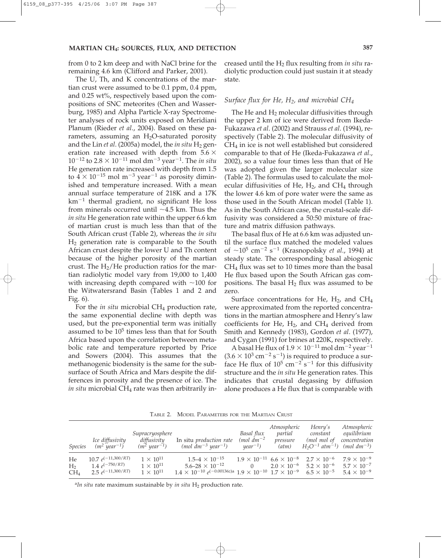from 0 to 2 km deep and with NaCl brine for the remaining 4.6 km (Clifford and Parker, 2001).

The U, Th, and K concentrations of the martian crust were assumed to be 0.1 ppm, 0.4 ppm, and 0.25 wt%, respectively based upon the compositions of SNC meteorites (Chen and Wasserburg, 1985) and Alpha Particle X-ray Spectrometer analyses of rock units exposed on Meridiani Planum (Rieder *et al*., 2004). Based on these parameters, assuming an  $H_2O$ -saturated porosity and the Lin *et al.* (2005a) model, the *in situ* H<sub>2</sub> generation rate increased with depth from  $5.6 \times$  $10^{-12}$  to  $2.8 \times 10^{-11}$  mol dm<sup>-3</sup> year<sup>-1</sup>. The *in situ* He generation rate increased with depth from 1.5 to  $4 \times 10^{-15}$  mol m<sup>-3</sup> year<sup>-1</sup> as porosity diminished and temperature increased. With a mean annual surface temperature of 218K and a 17K km-<sup>1</sup> thermal gradient, no significant He loss from minerals occurred until  $~1.5$  km. Thus the *in situ* He generation rate within the upper 6.6 km of martian crust is much less than that of the South African crust (Table 2), whereas the *in situ* H2 generation rate is comparable to the South African crust despite the lower U and Th content because of the higher porosity of the martian crust. The  $H_2/He$  production ratios for the martian radiolytic model vary from 19,000 to 1,400 with increasing depth compared with  $\sim$ 100 for the Witwatersrand Basin (Tables 1 and 2 and Fig. 6).

For the *in situ* microbial CH<sub>4</sub> production rate, the same exponential decline with depth was used, but the pre-exponential term was initially assumed to be  $10<sup>5</sup>$  times less than that for South Africa based upon the correlation between metabolic rate and temperature reported by Price and Sowers (2004). This assumes that the methanogenic biodensity is the same for the subsurface of South Africa and Mars despite the differences in porosity and the presence of ice. The *in situ* microbial CH<sub>4</sub> rate was then arbitrarily increased until the H2 flux resulting from *in situ* radiolytic production could just sustain it at steady state.

#### *Surface flux for He, H2, and microbial CH4*

The He and  $H_2$  molecular diffusivities through the upper 2 km of ice were derived from Ikeda-Fukazawa *et al*. (2002) and Strauss *et al*. (1994), respectively (Table 2). The molecular diffusivity of  $CH<sub>4</sub>$  in ice is not well established but considered comparable to that of He (Ikeda-Fukazawa *et al*., 2002), so a value four times less than that of He was adopted given the larger molecular size (Table 2). The formulas used to calculate the molecular diffusivities of He,  $H_2$ , and CH<sub>4</sub> through the lower 4.6 km of pore water were the same as those used in the South African model (Table 1). As in the South African case, the crustal-scale diffusivity was considered a 50:50 mixture of fracture and matrix diffusion pathways.

The basal flux of He at 6.6 km was adjusted until the surface flux matched the modeled values of  $\sim$ 10<sup>5</sup> cm<sup>-2</sup> s<sup>-1</sup> (Krasnopolsky *et al.,* 1994) at steady state. The corresponding basal abiogenic  $CH<sub>4</sub>$  flux was set to 10 times more than the basal He flux based upon the South African gas compositions. The basal  $H_2$  flux was assumed to be zero.

Surface concentrations for He,  $H_2$ , and CH<sub>4</sub> were approximated from the reported concentrations in the martian atmosphere and Henry's law coefficients for He,  $H_2$ , and  $CH_4$  derived from Smith and Kennedy (1983), Gordon *et al*. (1977), and Cygan (1991) for brines at 220K, respectively.

A basal He flux of  $1.9 \times 10^{-11}$  mol dm $^{-2}$  year $^{-1}$  $(3.6 \times 10^3 \text{ cm}^{-2} \text{ s}^{-1})$  is required to produce a surface He flux of  $10^5$  cm<sup>-2</sup> s<sup>-1</sup> for this diffusivity structure and the *in situ* He generation rates. This indicates that crustal degassing by diffusion alone produces a He flux that is comparable with

TABLE 2. MODEL PARAMETERS FOR THE MARTIAN CRUST

| <i>Species</i>                          | Ice diffusivity<br>$(m^2 \text{ year}^{-1})$                             | Supracryosphere<br>diffusivity<br>$(m2 year-1)$                | In situ <i>production rate</i><br>$(mol \ dm^{-3} year^{-1})$                                                                                                     | Basal flux<br>$(mol dm^{-2})$<br>$year^{-1}$ ) | Atmospheric<br>partial<br>pressure<br>(atm) | Henry's<br>constant<br>(mol mol of<br>$H_2O^{-1}$ atm <sup>-1</sup> ) (mol dm <sup>-3</sup> )                | Atmospheric<br>equilibrium<br>concentration                          |
|-----------------------------------------|--------------------------------------------------------------------------|----------------------------------------------------------------|-------------------------------------------------------------------------------------------------------------------------------------------------------------------|------------------------------------------------|---------------------------------------------|--------------------------------------------------------------------------------------------------------------|----------------------------------------------------------------------|
| He<br>H <sub>2</sub><br>CH <sub>4</sub> | $10.7 e^{(-11,300/RT)}$<br>1.4 $e^{(-750/RT)}$<br>2.5 $e^{(-11,300/RT)}$ | $1 \times 10^{11}$<br>$1 \times 10^{11}$<br>$1 \times 10^{11}$ | $1.5 - 4 \times 10^{-15}$<br>$5.6 - 28 \times 10^{-12}$<br>$1.4 \times 10^{-10} e^{(-0.00136z)a}$ $1.9 \times 10^{-10}$ $1.7 \times 10^{-9}$ $6.5 \times 10^{-5}$ |                                                |                                             | $1.9 \times 10^{-11}$ 6.6 $\times 10^{-8}$ 2.7 $\times 10^{-6}$<br>$2.0 \times 10^{-6}$ 5.2 $\times 10^{-6}$ | $7.9 \times 10^{-9}$<br>$5.7 \times 10^{-7}$<br>$5.4 \times 10^{-9}$ |

<sup>a</sup>In situ rate maximum sustainable by *in situ* H<sub>2</sub> production rate.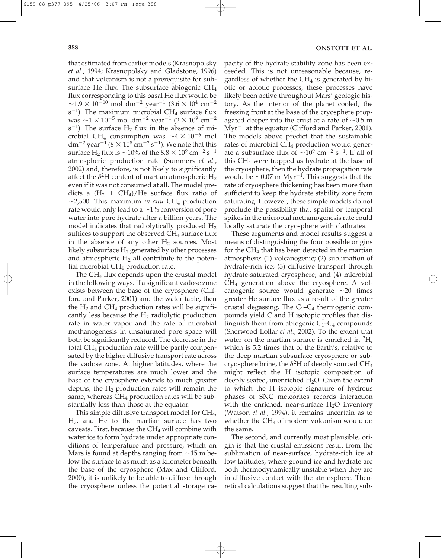that estimated from earlier models (Krasnopolsky *et al*., 1994; Krasnopolsky and Gladstone, 1996) and that volcanism is not a prerequisite for subsurface He flux. The subsurface abiogenic CH4 flux corresponding to this basal He flux would be  $\sim$ 1.9  $\times$  10<sup>-10</sup> mol dm<sup>-2</sup> year<sup>-1</sup> (3.6  $\times$  10<sup>4</sup> cm<sup>-2</sup>  $s^{-1}$ ). The maximum microbial CH<sub>4</sub> surface flux was  $\sim$ 1  $\times$  10<sup>-5</sup> mol dm<sup>-2</sup> year<sup>-1</sup> (2  $\times$  10<sup>9</sup> cm<sup>-2</sup>  $s^{-1}$ ). The surface  $H_2$  flux in the absence of microbial CH<sub>4</sub> consumption was  $\sim$ 4  $\times$  10<sup>-6</sup> mol dm $^{-2}$  year $^{-1}$  ( $8\times10^8$  cm $^{-2}$  s $^{-1}$ ). We note that this surface H<sub>2</sub> flux is  $\sim$ 10% of the 8.8  $\times$  10<sup>9</sup> cm<sup>-2</sup> s<sup>-1</sup> atmospheric production rate (Summers *et al*., 2002) and, therefore, is not likely to significantly affect the  $\delta^2$ H content of martian atmospheric  $H_2$ even if it was not consumed at all. The model predicts a  $(H_2 + CH_4)/He$  surface flux ratio of  $\sim$ 2,500. This maximum *in situ* CH<sub>4</sub> production rate would only lead to a  $\sim$ 1% conversion of pore water into pore hydrate after a billion years. The model indicates that radiolytically produced  $H_2$ suffices to support the observed  $CH<sub>4</sub>$  surface flux in the absence of any other  $H_2$  sources. Most likely subsurface  $H_2$  generated by other processes and atmospheric  $H_2$  all contribute to the potential microbial  $CH<sub>4</sub>$  production rate.

The  $CH_4$  flux depends upon the crustal model in the following ways. If a significant vadose zone exists between the base of the cryosphere (Clifford and Parker, 2001) and the water table, then the  $H_2$  and  $CH_4$  production rates will be significantly less because the  $H_2$  radiolytic production rate in water vapor and the rate of microbial methanogenesis in unsaturated pore space will both be significantly reduced. The decrease in the total  $CH_4$  production rate will be partly compensated by the higher diffusive transport rate across the vadose zone. At higher latitudes, where the surface temperatures are much lower and the base of the cryosphere extends to much greater depths, the  $H_2$  production rates will remain the same, whereas  $CH_4$  production rates will be substantially less than those at the equator.

This simple diffusive transport model for CH4,  $H<sub>2</sub>$ , and He to the martian surface has two caveats. First, because the  $CH<sub>4</sub>$  will combine with water ice to form hydrate under appropriate conditions of temperature and pressure, which on Mars is found at depths ranging from  $\sim$ 15 m below the surface to as much as a kilometer beneath the base of the cryosphere (Max and Clifford, 2000), it is unlikely to be able to diffuse through the cryosphere unless the potential storage capacity of the hydrate stability zone has been exceeded. This is not unreasonable because, regardless of whether the  $CH<sub>4</sub>$  is generated by biotic or abiotic processes, these processes have likely been active throughout Mars' geologic history. As the interior of the planet cooled, the freezing front at the base of the cryosphere propagated deeper into the crust at a rate of  $\sim 0.5$  m Myr<sup>-1</sup> at the equator (Clifford and Parker, 2001). The models above predict that the sustainable rates of microbial CH<sub>4</sub> production would generate a subsurface flux of  $\sim$ 10<sup>9</sup> cm<sup>-2</sup> s<sup>-1</sup>. If all of this  $CH<sub>4</sub>$  were trapped as hydrate at the base of the cryosphere, then the hydrate propagation rate would be  $\sim 0.07$  m Myr<sup>-1</sup>. This suggests that the rate of cryosphere thickening has been more than sufficient to keep the hydrate stability zone from saturating. However, these simple models do not preclude the possibility that spatial or temporal spikes in the microbial methanogenesis rate could locally saturate the cryosphere with clathrates.

These arguments and model results suggest a means of distinguishing the four possible origins for the  $CH_4$  that has been detected in the martian atmosphere: (1) volcanogenic; (2) sublimation of hydrate-rich ice; (3) diffusive transport through hydrate-saturated cryosphere; and (4) microbial CH4 generation above the cryosphere. A volcanogenic source would generate  $\sim$ 20 times greater He surface flux as a result of the greater crustal degassing. The  $C_1-C_4$  thermogenic compounds yield C and H isotopic profiles that distinguish them from abiogenic  $C_1-C_4$  compounds (Sherwood Lollar *et al*., 2002). To the extent that water on the martian surface is enriched in 2H, which is 5.2 times that of the Earth's, relative to the deep martian subsurface cryosphere or subcryosphere brine, the  $\delta^2H$  of deeply sourced CH<sub>4</sub> might reflect the H isotopic composition of deeply seated, unenriched  $H_2O$ . Given the extent to which the H isotopic signature of hydrous phases of SNC meteorites records interaction with the enriched, near-surface  $H_2O$  inventory (Watson *et al*., 1994), it remains uncertain as to whether the  $CH_4$  of modern volcanism would do the same.

The second, and currently most plausible, origin is that the crustal emissions result from the sublimation of near-surface, hydrate-rich ice at low latitudes, where ground ice and hydrate are both thermodynamically unstable when they are in diffusive contact with the atmosphere. Theoretical calculations suggest that the resulting sub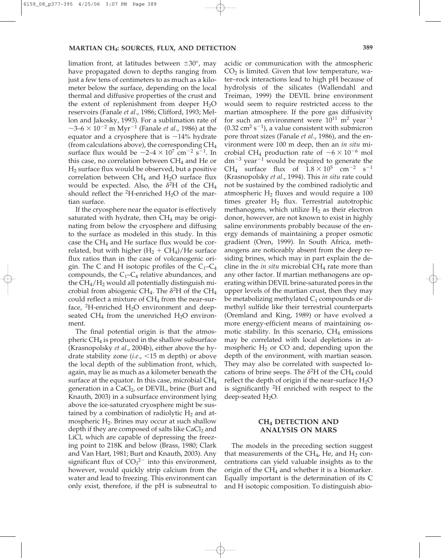limation front, at latitudes between  $\pm 30^{\circ}$ , may have propagated down to depths ranging from just a few tens of centimeters to as much as a kilometer below the surface, depending on the local thermal and diffusive properties of the crust and the extent of replenishment from deeper  $H_2O$ reservoirs (Fanale *et al*., 1986; Clifford, 1993; Mellon and Jakosky, 1993). For a sublimation rate of  $\sim$ 3–6  $\times$  10<sup>-2</sup> m Myr<sup>-1</sup> (Fanale *et al.*, 1986) at the equator and a cryosphere that is  $\sim$ 14% hydrate (from calculations above), the corresponding  $CH<sub>4</sub>$ surface flux would be  $\sim$ 2–4  $\times$  10<sup>7</sup> cm<sup>-2</sup> s<sup>-1</sup>. In this case, no correlation between  $CH<sub>4</sub>$  and He or H2 surface flux would be observed, but a positive correlation between  $CH_4$  and  $H_2O$  surface flux would be expected. Also, the  $\delta^2H$  of the CH<sub>4</sub> should reflect the  ${}^{2}$ H-enriched H<sub>2</sub>O of the martian surface.

If the cryosphere near the equator is effectively saturated with hydrate, then  $CH<sub>4</sub>$  may be originating from below the cryosphere and diffusing to the surface as modeled in this study. In this case the  $CH_4$  and He surface flux would be correlated, but with higher  $(H_2 + CH_4)/He$  surface flux ratios than in the case of volcanogenic origin. The C and H isotopic profiles of the  $C_1-C_4$ compounds, the  $C_1-C_4$  relative abundances, and the  $CH_4/H_2$  would all potentially distinguish microbial from abiogenic CH<sub>4</sub>. The  $\delta^2$ H of the CH<sub>4</sub> could reflect a mixture of  $CH<sub>4</sub>$  from the near-surface, <sup>2</sup>H-enriched  $H_2O$  environment and deepseated CH<sub>4</sub> from the unenriched H<sub>2</sub>O environment.

The final potential origin is that the atmospheric CH4 is produced in the shallow subsurface (Krasnopolsky *et al*., 2004b), either above the hydrate stability zone  $(i.e., <15 \text{ m depth})$  or above the local depth of the sublimation front, which, again, may lie as much as a kilometer beneath the surface at the equator. In this case, microbial  $CH<sub>4</sub>$ generation in a CaCl<sub>2</sub>, or DEVIL, brine (Burt and Knauth, 2003) in a subsurface environment lying above the ice-saturated cryosphere might be sustained by a combination of radiolytic  $H_2$  and atmospheric H<sub>2</sub>. Brines may occur at such shallow depth if they are composed of salts like  $CaCl<sub>2</sub>$  and LiCl, which are capable of depressing the freezing point to 218K and below (Brass, 1980; Clark and Van Hart, 1981; Burt and Knauth, 2003). Any significant flux of  $CO<sub>3</sub><sup>2–</sup>$  into this environment, however, would quickly strip calcium from the water and lead to freezing. This environment can only exist, therefore, if the pH is subneutral to

acidic or communication with the atmospheric  $CO<sub>2</sub>$  is limited. Given that low temperature, water–rock interactions lead to high pH because of hydrolysis of the silicates (Wallendahl and Treiman, 1999) the DEVIL brine environment would seem to require restricted access to the martian atmosphere. If the pore gas diffusivity for such an environment were  $10^{11}$  m<sup>2</sup> year<sup>-1</sup>  $(0.32 \text{ cm}^2 \text{ s}^{-1})$ , a value consistent with submicron pore throat sizes (Fanale *et al*., 1986), and the environment were 100 m deep, then an *in situ* microbial CH<sub>4</sub> production rate of  $\sim 6 \times 10^{-6}$  mol  $dm^{-3}$  year<sup>-1</sup> would be required to generate the CH<sub>4</sub> surface flux of  $1.8 \times 10^5$  cm<sup>-2</sup> s<sup>-1</sup> (Krasnopolsky *et al*., 1994). This *in situ* rate could not be sustained by the combined radiolytic and atmospheric  $H_2$  fluxes and would require a 100 times greater  $H_2$  flux. Terrestrial autotrophic methanogens, which utilize  $H_2$  as their electron donor, however, are not known to exist in highly saline environments probably because of the energy demands of maintaining a proper osmotic gradient (Oren, 1999). In South Africa, methanogens are noticeably absent from the deep residing brines, which may in part explain the decline in the *in situ* microbial CH<sub>4</sub> rate more than any other factor. If martian methanogens are operating within DEVIL brine-saturated pores in the upper levels of the martian crust, then they may be metabolizing methylated  $C_1$  compounds or dimethyl sulfide like their terrestrial counterparts (Oremland and King, 1989) or have evolved a more energy-efficient means of maintaining osmotic stability. In this scenario,  $CH<sub>4</sub>$  emissions may be correlated with local depletions in atmospheric  $H_2$  or CO and, depending upon the depth of the environment, with martian season. They may also be correlated with suspected locations of brine seeps. The  $\delta^2$ H of the CH<sub>4</sub> could reflect the depth of origin if the near-surface  $H_2O$ is significantly 2H enriched with respect to the deep-seated  $H_2O$ .

## **CH4 DETECTION AND ANALYSIS ON MARS**

The models in the preceding section suggest that measurements of the CH<sub>4</sub>, He, and H<sub>2</sub> concentrations can yield valuable insights as to the origin of the  $CH_4$  and whether it is a biomarker. Equally important is the determination of its C and H isotopic composition. To distinguish abio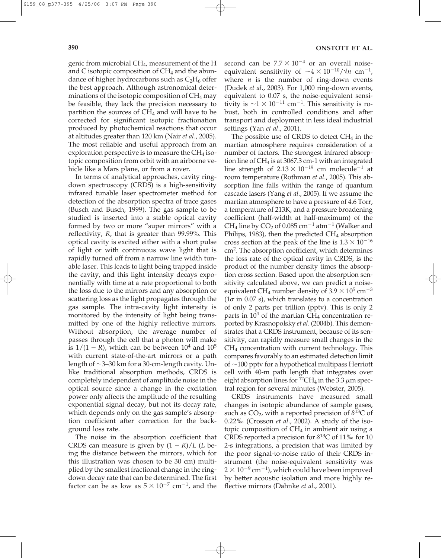genic from microbial CH4, measurement of the H and C isotopic composition of  $CH<sub>4</sub>$  and the abundance of higher hydrocarbons such as  $C_2H_6$  offer the best approach. Although astronomical determinations of the isotopic composition of  $CH_4$  may be feasible, they lack the precision necessary to partition the sources of  $CH<sub>4</sub>$  and will have to be corrected for significant isotopic fractionation produced by photochemical reactions that occur at altitudes greater than 120 km (Nair *et al*., 2005). The most reliable and useful approach from an exploration perspective is to measure the  $CH_4$  isotopic composition from orbit with an airborne vehicle like a Mars plane, or from a rover.

In terms of analytical approaches, cavity ringdown spectroscopy (CRDS) is a high-sensitivity infrared tunable laser spectrometer method for detection of the absorption spectra of trace gases (Busch and Busch, 1999). The gas sample to be studied is inserted into a stable optical cavity formed by two or more "super mirrors" with a reflectivity, *R*, that is greater than 99.99%. This optical cavity is excited either with a short pulse of light or with continuous wave light that is rapidly turned off from a narrow line width tunable laser. This leads to light being trapped inside the cavity, and this light intensity decays exponentially with time at a rate proportional to both the loss due to the mirrors and any absorption or scattering loss as the light propagates through the gas sample. The intra-cavity light intensity is monitored by the intensity of light being transmitted by one of the highly reflective mirrors. Without absorption, the average number of passes through the cell that a photon will make is  $1/(1 - R)$ , which can be between  $10<sup>4</sup>$  and  $10<sup>5</sup>$ with current state-of-the-art mirrors or a path length of  $\sim$ 3–30 km for a 30-cm-length cavity. Unlike traditional absorption methods, CRDS is completely independent of amplitude noise in the optical source since a change in the excitation power only affects the amplitude of the resulting exponential signal decay, but not its decay rate, which depends only on the gas sample's absorption coefficient after correction for the background loss rate.

The noise in the absorption coefficient that CRDS can measure is given by  $(1 - R)/L$  (*L* being the distance between the mirrors, which for this illustration was chosen to be 30 cm) multiplied by the smallest fractional change in the ringdown decay rate that can be determined. The first factor can be as low as  $5 \times 10^{-7}$  cm<sup>-1</sup>, and the

second can be  $7.7 \times 10^{-4}$  or an overall noiseequivalent sensitivity of  $\sim 4 \times 10^{-10} / \sqrt{n}$  cm<sup>-1</sup>, where *n* is the number of ring-down events (Dudek *et al*., 2003). For 1,000 ring-down events, equivalent to 0.07 s, the noise-equivalent sensitivity is  $\sim$ 1  $\times$  10<sup>-11</sup> cm<sup>-1</sup>. This sensitivity is robust, both in controlled conditions and after transport and deployment in less ideal industrial settings (Yan *et al*., 2001).

The possible use of CRDS to detect  $CH<sub>4</sub>$  in the martian atmosphere requires consideration of a number of factors. The strongest infrared absorption line of  $CH_4$  is at 3067.3 cm-1 with an integrated line strength of  $2.13 \times 10^{-19}$  cm molecule<sup>-1</sup> at room temperature (Rothman *et al*., 2005). This absorption line falls within the range of quantum cascade lasers (Yang *et al*., 2005). If we assume the martian atmosphere to have a pressure of 4.6 Torr, a temperature of 213K, and a pressure broadening coefficient (half-width at half-maximum) of the  $CH_4$  line by  $CO_2$  of  $0.085$   $cm^{-1}$  at $m^{-1}$  (Walker and Philips, 1983), then the predicted  $CH<sub>4</sub>$  absorption cross section at the peak of the line is  $1.3 \times 10^{-16}$ cm2. The absorption coefficient, which determines the loss rate of the optical cavity in CRDS, is the product of the number density times the absorption cross section. Based upon the absorption sensitivity calculated above, we can predict a noiseequivalent CH<sub>4</sub> number density of 3.9  $\times$  10<sup>5</sup> cm<sup>-3</sup>  $(1\sigma$  in 0.07 s), which translates to a concentration of only 2 parts per trillion (pptv). This is only 2 parts in  $10<sup>4</sup>$  of the martian CH<sub>4</sub> concentration reported by Krasnopolsky *et al*. (2004b). This demonstrates that a CRDS instrument, because of its sensitivity, can rapidly measure small changes in the CH4 concentration with current technology. This compares favorably to an estimated detection limit of  $\sim$ 100 pptv for a hypothetical multipass Herriott cell with 40-m path length that integrates over eight absorption lines for <sup>12</sup>CH<sub>4</sub> in the 3.3  $\mu$ m spectral region for several minutes (Webster, 2005).

CRDS instruments have measured small changes in isotopic abundance of sample gases, such as CO<sub>2</sub>, with a reported precision of  $\delta^{13}$ C of 0.22‰ (Crosson *et al*., 2002). A study of the isotopic composition of  $CH<sub>4</sub>$  in ambient air using a CRDS reported a precision for  $\delta^{13}$ C of 11‰ for 10 2-s integrations, a precision that was limited by the poor signal-to-noise ratio of their CRDS instrument (the noise-equivalent sensitivity was  $2 \times 10^{-9}$  cm<sup>-1</sup>), which could have been improved by better acoustic isolation and more highly reflective mirrors (Dahnke *et al*., 2001).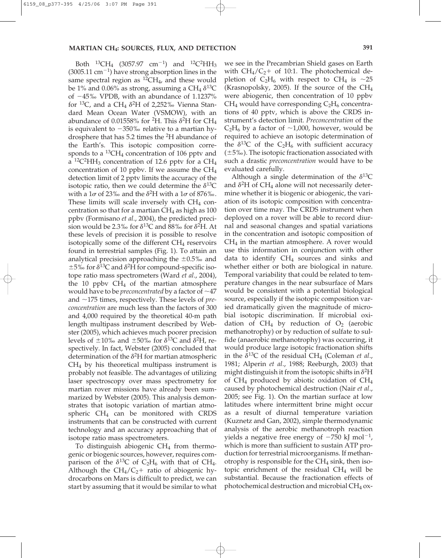Both  $^{13}CH_4$  (3057.97 cm<sup>-1</sup>) and  $^{12}C^2HH_3$  $(3005.11 \text{ cm}^{-1})$  have strong absorption lines in the same spectral region as  ${}^{12}CH_4$ , and these would be  $1\%$  and 0.06% as strong, assuming a CH<sub>4</sub>  $\delta^{13}$ C of -45‰ VPDB, with an abundance of 1.1237% for <sup>13</sup>C, and a CH<sub>4</sub>  $\delta^2$ H of 2,252‰ Vienna Standard Mean Ocean Water (VSMOW), with an abundance of  $0.01558\%$  for <sup>2</sup>H. This  $\delta^2$ H for CH<sub>4</sub> is equivalent to  $-350\%$  relative to a martian hydrosphere that has 5.2 times the 2H abundance of the Earth's. This isotopic composition corresponds to a  ${}^{13}CH_4$  concentration of 106 pptv and a <sup>12</sup>C<sup>2</sup>HH<sub>3</sub> concentration of 12.6 pptv for a CH<sub>4</sub> concentration of 10 ppbv. If we assume the CH4 detection limit of 2 pptv limits the accuracy of the isotopic ratio, then we could determine the  $\delta^{13}C$ with a  $1\sigma$  of 23‰ and the  $\delta^2H$  with a  $1\sigma$  of 876‰. These limits will scale inversely with  $CH<sub>4</sub>$  concentration so that for a martian  $CH<sub>4</sub>$  as high as 100 ppbv (Formisano *et al*., 2004), the predicted precision would be 2.3‰ for  $\delta^{13}$ C and 88‰ for  $\delta^2$ H. At these levels of precision it is possible to resolve isotopically some of the different  $CH<sub>4</sub>$  reservoirs found in terrestrial samples (Fig. 1). To attain an analytical precision approaching the  $\pm 0.5$ % and  $\pm$ 5‰ for  $\delta$ <sup>13</sup>C and  $\delta$ <sup>2</sup>H for compound-specific isotope ratio mass spectrometers (Ward *et al*., 2004), the 10 ppby  $CH_4$  of the martian atmosphere would have to be *preconcentrated* by a factor of  $\sim$ 47 and  $\sim$ 175 times, respectively. These levels of *preconcentration* are much less than the factors of 300 and 4,000 required by the theoretical 40-m path length multipass instrument described by Webster (2005), which achieves much poorer precision levels of  $\pm 10\%$  and  $\pm 50\%$  for  $\delta^{13}$ C and  $\delta^2$ H, respectively. In fact, Webster (2005) concluded that determination of the  $\delta^2$ H for martian atmospheric  $CH<sub>4</sub>$  by his theoretical multipass instrument is probably not feasible. The advantages of utilizing laser spectroscopy over mass spectrometry for martian rover missions have already been summarized by Webster (2005). This analysis demonstrates that isotopic variation of martian atmospheric  $CH_4$  can be monitored with CRDS instruments that can be constructed with current technology and an accuracy approaching that of isotope ratio mass spectrometers.

To distinguish abiogenic  $CH<sub>4</sub>$  from thermogenic or biogenic sources, however, requires comparison of the  $\delta^{13}C$  of  $C_2H_6$  with that of CH<sub>4</sub>. Although the  $CH_4/C_2$ + ratio of abiogenic hydrocarbons on Mars is difficult to predict, we can start by assuming that it would be similar to what

we see in the Precambrian Shield gases on Earth with  $CH_4/C_2$ + of 10:1. The photochemical depletion of  $C_2H_6$  with respect to CH<sub>4</sub> is ~25 (Krasnopolsky, 2005). If the source of the  $CH_4$ were abiogenic, then concentration of 10 ppbv  $CH_4$  would have corresponding  $C_2H_6$  concentrations of 40 pptv, which is above the CRDS instrument's detection limit. *Preconcentration* of the  $C_2H_6$  by a factor of  $\sim$ 1,000, however, would be required to achieve an isotopic determination of the  $\delta^{13}C$  of the  $C_2H_6$  with sufficient accuracy  $(\pm 5\%)$ . The isotopic fractionation associated with such a drastic *preconcentration* would have to be evaluated carefully.

Although a single determination of the  $\delta^{13}C$ and  $\delta^2$ H of CH<sub>4</sub> alone will not necessarily determine whether it is biogenic or abiogenic, the variation of its isotopic composition with concentration over time may. The CRDS instrument when deployed on a rover will be able to record diurnal and seasonal changes and spatial variations in the concentration and isotopic composition of  $CH<sub>4</sub>$  in the martian atmosphere. A rover would use this information in conjunction with other data to identify  $CH_4$  sources and sinks and whether either or both are biological in nature. Temporal variability that could be related to temperature changes in the near subsurface of Mars would be consistent with a potential biological source, especially if the isotopic composition varied dramatically given the magnitude of microbial isotopic discrimination. If microbial oxidation of  $CH_4$  by reduction of  $O_2$  (aerobic methanotrophy) or by reduction of sulfate to sulfide (anaerobic methanotrophy) was occurring, it would produce large isotopic fractionation shifts in the  $\delta^{13}C$  of the residual CH<sub>4</sub> (Coleman *et al.*, 1981; Alperin *et al*., 1988; Reeburgh, 2003) that might distinguish it from the isotopic shifts in  $\delta^2$ H of  $CH_4$  produced by abiotic oxidation of  $CH_4$ caused by photochemical destruction (Nair *et al*., 2005; see Fig. 1). On the martian surface at low latitudes where intermittent brine might occur as a result of diurnal temperature variation (Kuznetz and Gan, 2002), simple thermodynamic analysis of the aerobic methanotroph reaction yields a negative free energy of  $-750$  kJ mol<sup>-1</sup>, which is more than sufficient to sustain ATP production for terrestrial microorganisms. If methanotrophy is responsible for the  $CH_4$  sink, then isotopic enrichment of the residual  $CH<sub>4</sub>$  will be substantial. Because the fractionation effects of photochemical destruction and microbial  $CH_4$  ox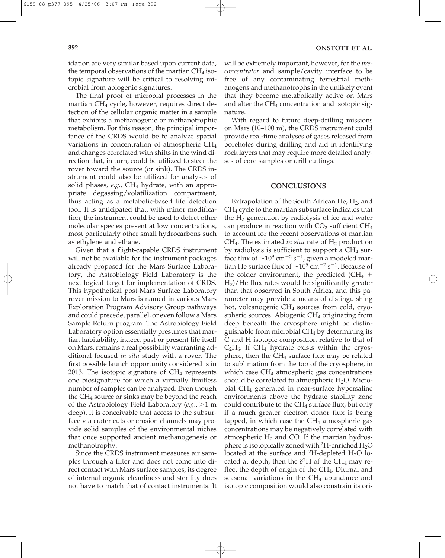idation are very similar based upon current data, the temporal observations of the martian  $CH_4$  isotopic signature will be critical to resolving microbial from abiogenic signatures.

The final proof of microbial processes in the martian  $CH<sub>4</sub>$  cycle, however, requires direct detection of the cellular organic matter in a sample that exhibits a methanogenic or methanotrophic metabolism. For this reason, the principal importance of the CRDS would be to analyze spatial variations in concentration of atmospheric CH4 and changes correlated with shifts in the wind direction that, in turn, could be utilized to steer the rover toward the source (or sink). The CRDS instrument could also be utilized for analyses of solid phases, *e.g.*, CH<sub>4</sub> hydrate, with an appropriate degassing/volatilization compartment, thus acting as a metabolic-based life detection tool. It is anticipated that, with minor modification, the instrument could be used to detect other molecular species present at low concentrations, most particularly other small hydrocarbons such as ethylene and ethane.

Given that a flight-capable CRDS instrument will not be available for the instrument packages already proposed for the Mars Surface Laboratory, the Astrobiology Field Laboratory is the next logical target for implementation of CRDS. This hypothetical post-Mars Surface Laboratory rover mission to Mars is named in various Mars Exploration Program Advisory Group pathways and could precede, parallel, or even follow a Mars Sample Return program. The Astrobiology Field Laboratory option essentially presumes that martian habitability, indeed past or present life itself on Mars, remains a real possibility warranting additional focused *in situ* study with a rover. The first possible launch opportunity considered is in 2013. The isotopic signature of  $CH<sub>4</sub>$  represents one biosignature for which a virtually limitless number of samples can be analyzed. Even though the  $CH<sub>4</sub>$  source or sinks may be beyond the reach of the Astrobiology Field Laboratory  $(e.g., >1$  m deep), it is conceivable that access to the subsurface via crater cuts or erosion channels may provide solid samples of the environmental niches that once supported ancient methanogenesis or methanotrophy.

Since the CRDS instrument measures air samples through a filter and does not come into direct contact with Mars surface samples, its degree of internal organic cleanliness and sterility does not have to match that of contact instruments. It will be extremely important, however, for the *preconcentrator* and sample/cavity interface to be free of any contaminating terrestrial methanogens and methanotrophs in the unlikely event that they become metabolically active on Mars and alter the  $CH_4$  concentration and isotopic signature.

With regard to future deep-drilling missions on Mars (10–100 m), the CRDS instrument could provide real-time analyses of gases released from boreholes during drilling and aid in identifying rock layers that may require more detailed analyses of core samples or drill cuttings.

### **CONCLUSIONS**

Extrapolation of the South African He,  $H_2$ , and CH4 cycle to the martian subsurface indicates that the  $H_2$  generation by radiolysis of ice and water can produce in reaction with  $CO<sub>2</sub>$  sufficient  $CH<sub>4</sub>$ to account for the recent observations of martian  $CH<sub>4</sub>$ . The estimated *in situ* rate of  $H<sub>2</sub>$  production by radiolysis is sufficient to support a  $CH<sub>4</sub>$  surface flux of  $\sim$ 10<sup>9</sup> cm<sup>-2</sup> s<sup>-1</sup>, given a modeled martian He surface flux of  $\sim$ 10<sup>5</sup> cm<sup>-2</sup> s<sup>-1</sup>. Because of the colder environment, the predicted  $CH_4$  + H2)/He flux rates would be significantly greater than that observed in South Africa, and this parameter may provide a means of distinguishing hot, volcanogenic CH<sub>4</sub> sources from cold, cryospheric sources. Abiogenic  $CH<sub>4</sub>$  originating from deep beneath the cryosphere might be distinguishable from microbial  $CH<sub>4</sub>$  by determining its C and H isotopic composition relative to that of  $C_2H_6$ . If CH<sub>4</sub> hydrate exists within the cryosphere, then the  $CH<sub>4</sub>$  surface flux may be related to sublimation from the top of the cryosphere, in which case  $CH<sub>4</sub>$  atmospheric gas concentrations should be correlated to atmospheric  $H_2O$ . Microbial CH4 generated in near-surface hypersaline environments above the hydrate stability zone could contribute to the  $CH_4$  surface flux, but only if a much greater electron donor flux is being tapped, in which case the  $CH<sub>4</sub>$  atmospheric gas concentrations may be negatively correlated with atmospheric  $H_2$  and CO. If the martian hydrosphere is isotopically zoned with <sup>2</sup>H-enriched  $H_2O$ located at the surface and  ${}^{2}H$ -depleted H<sub>2</sub>O located at depth, then the  $\delta^2H$  of the CH<sub>4</sub> may reflect the depth of origin of the  $CH<sub>4</sub>$ . Diurnal and seasonal variations in the  $CH<sub>4</sub>$  abundance and isotopic composition would also constrain its ori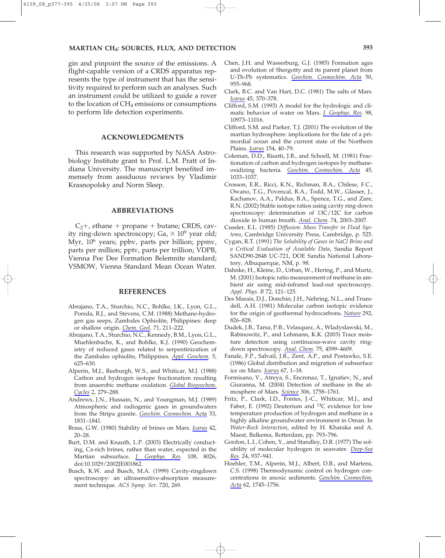gin and pinpoint the source of the emissions. A flight-capable version of a CRDS apparatus represents the type of instrument that has the sensitivity required to perform such an analyses. Such an instrument could be utilized to guide a rover to the location of  $CH_4$  emissions or consumptions to perform life detection experiments.

## **ACKNOWLEDGMENTS**

This research was supported by NASA Astrobiology Institute grant to Prof. L.M. Pratt of Indiana University. The manuscript benefited immensely from assiduous reviews by Vladimir Krasnopolsky and Norm Sleep.

## **ABBREVIATIONS**

 $C_2$ +, ethane + propane + butane; CRDS, cavity ring-down spectroscopy; Ga,  $\times 10^9$  year old; Myr, 10<sup>6</sup> years; ppbv, parts per billion; ppmv, parts per million; pptv, parts per trillion; VDPB, Vienna Pee Dee Formation Belemnite standard; VSMOW, Vienna Standard Mean Ocean Water.

#### **REFERENCES**

- Abrajano, T.A., Sturchio, N.C., Bohlke, J.K., Lyon, G.L., Poreda, R.J., and Stevens, C.M. (1988) Methane-hydrogen gas seeps, Zambales Ophiolite, Philippines: deep or shallow origin. *Chem. Geol*. 71, 211–222.
- Abrajano, T.A., Sturchio, N.C., Kennedy, B.M., Lyon, G.L., Muehlenbachs, K., and Bohlke, K.J. (1990) Geochemistry of reduced gases related to serpentinization of the Zambales ophiolite, Philippines. *Appl. Geochem*. 5, 625–630.
- Alperin, M.J., Reeburgh, W.S., and Whiticar, M.J. (1988) Carbon and hydrogen isotope fractionation resulting from anaerobic methane oxidation. *Global Biogeochem. Cycles* 2, 279–288.
- Andrews, J.N., Hussain, N., and Youngman, M.J. (1989) Atmospheric and radiogenic gases in groundwaters from the Stripa granite. *Geochim. Cosmochim*. Acta 53, 1831–1841.
- Brass, G.W. (1980) Stability of brines on Mars. *Icarus* 42, 20–28.
- Burt, D.M. and Knauth, L.P. (2003) Electrically conducting, Ca-rich brines, rather than water, expected in the Martian subsurface. *J. Geophys. Res*. 108, 8026, doi:10.1029/2002JE001862.
- Busch, K.W. and Busch, M.A. (1999) Cavity-ringdown spectroscopy: an ultrasensitive-absorption measurement technique. *ACS Symp. Ser*. 720, 269.
- Chen, J.H. and Wasserburg, G.J. (1985) Formation ages and evolution of Shergotty and its parent planet from U-Th-Pb systematics. *Geochim. Cosmochim. Acta* 50, 955–968.
- Clark, B.C. and Van Hart, D.C. (1981) The salts of Mars. *Icarus* 45, 370–378.
- Clifford, S.M. (1993) A model for the hydrologic and climatic behavior of water on Mars. *J. Geophys. Res*. 98, 10973–11016.
- Clifford, S.M. and Parker, T.J. (2001) The evolution of the martian hydrosphere: implications for the fate of a primordial ocean and the current state of the Northern Plains. *Icarus* 154, 40–79.
- Coleman, D.D., Risatti, J.B., and Schoell, M. (1981) Fractionation of carbon and hydrogen isotopes by methaneoxidizing bacteria. *Geochim. Cosmochim. Acta* 45, 1033–1037.
- Crosson, E.R., Ricci, K.N., Richman, B.A., Chilese, F.C., Owano, T.G., Povencal, R.A., Todd, M.W., Glasser, J., Kachanov, A.A., Paldus, B.A., Spence, T.G., and Zare, R.N. (2002) Stable isotope ratios using cavity ring-down spectroscopy: determination of 13C/12C for carbon dioxide in human breath. *Anal. Chem*. 74, 2003–2007.
- Cussler, E.L. (1985) *Diffusion: Mass Transfer in Fluid Systems*, Cambridge University Press, Cambridge, p. 525.
- Cygan, R.T. (1991) *The Solubility of Gases in NaCl Brine and a Critical Evaluation of Available Data*, Sandia Report SAND90-2848 UC-721, DOE Sandia National Laboratory, Albuquerque, NM, p. 98.
- Dahnke, H., Kleine, D., Urban, W., Hering, P., and Murtz, M. (2001) Isotopic ratio measurement of methane in ambient air using mid-infrared lead-out spectroscopy. *Appl. Phys. B* 72, 121–125.
- Des Marais, D.J., Donchin, J.H., Nehring, N.L., and Truesdell, A.H. (1981) Molecular carbon isotopic evidence for the origin of geothermal hydrocarbons. *Nature* 292, 826–828.
- Dudek, J.B., Tarsa, P.B., Velasquez, A., Wladyslawski, M., Rabinowitz, P., and Lehmann, K.K. (2003) Trace moisture detection using continuous-wave cavity ringdown spectroscopy. *Anal. Chem*. 75, 4599–4609.
- Fanale, F.P., Salvail, J.R., Zent, A.P., and Postawko, S.E. (1986) Global distribution and migration of subsurface ice on Mars. *Icarus* 67, 1–18.
- Formisano, V., Atreya, S., Encrenaz, T., Ignatiev, N., and Giuranna, M. (2004) Detection of methane in the atmosphere of Mars. *Science* 306, 1758–1761.
- Fritz, P., Clark, I.D., Fontes, J.-C., Whiticar, M.J., and Faber, E. (1992) Deuterium and  ${}^{13}C$  evidence for low temperature production of hydrogen and methane in a highly alkaline groundwater environment in Oman. In *Water-Rock Interaction*, edited by H. Kharaka and A. Maest, Balkema, Rotterdam, pp. 793–796.
- Gordon, L.I., Cohen, Y., and Standley, D.R. (1977) The solubility of molecular hydrogen in seawater. *Deep-Sea Res*. 24, 937–941.
- Hoehler, T.M., Alperin, M.J., Albert, D.B., and Martens, C.S. (1998) Thermodynamic control on hydrogen concentrations in anoxic sediments. *Geochim. Cosmochim. Acta* 62, 1745–1756.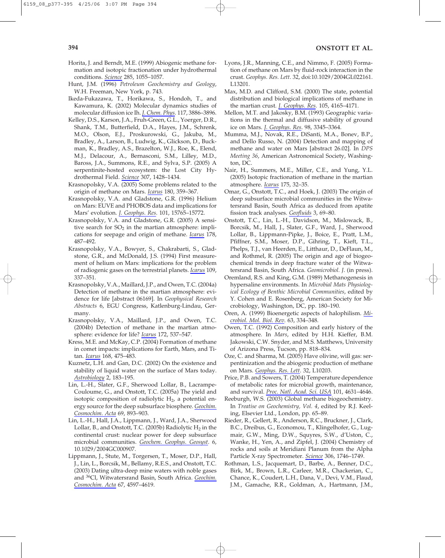- Horita, J. and Berndt, M.E. (1999) Abiogenic methane formation and isotopic fractionation under hydrothermal conditions. *Science* 285, 1055–1057.
- Hunt, J.M. (1996) *Petroleum Geochemistry and Geology*, W.H. Freeman, New York, p. 743.
- Ikeda-Fukazawa, T., Horikawa, S., Hondoh, T., and Kawamura, K. (2002) Molecular dynamics studies of molecular diffusion ice Ih. *J. Chem. Phys*. 117, 3886–3896.
- Kelley, D.S., Karson, J.A., Fruh-Green, G.L., Yoerger, D.R., Shank, T.M., Butterfield, D.A., Hayes, J.M., Schrenk, M.O., Olson, E.J., Proskurowski, G., Jakuba, M., Bradley, A., Larson, B., Ludwig, K., Glickson, D., Buckman, K., Bradley, A.S., Brazelton, W.J., Roe, K., Elend, M.J., Delacour, A., Bernasconi, S.M., Lilley, M.D., Baross, J.A., Summons, R.E., and Sylva, S.P. (2005) A serpentinite-hosted ecosystem: the Lost City Hydrothermal Field. *Science* 307, 1428–1434.
- Krasnopolsky, V.A. (2005) Some problems related to the origin of methane on Mars. *Icarus* 180, 359–367.
- Krasnopolsky, V.A. and Gladstone, G.R. (1996) Helium on Mars: EUVE and PHOBOS data and implications for Mars' evolution. *J. Geophys. Res*. 101, 15765–15772.
- Krasnopolsky, V.A. and Gladstone, G.R. (2005) A sensitive search for  $SO<sub>2</sub>$  in the martian atmosphere: implications for seepage and origin of methane. *Icarus* 178, 487–492.
- Krasnopolsky, V.A., Bowyer, S., Chakrabarti, S., Gladstone, G.R., and McDonald, J.S. (1994) First measurement of helium on Mars: implications for the problem of radiogenic gases on the terrestrial planets. *Icarus* 109, 337–351.
- Krasnopolsky, V.A., Maillard, J.P., and Owen, T.C. (2004a) Detection of methane in the martian atmosphere: evidence for life [abstract 06169]. In *Geophysical Research Abstracts* 6, EGU Congress, Katlenburg-Lindau, Germany.
- Krasnopolsky, V.A., Maillard, J.P., and Owen, T.C. (2004b) Detection of methane in the martian atmosphere: evidence for life? *Icarus* 172, 537–547.
- Kress, M.E. and McKay, C.P. (2004) Formation of methane in comet impacts: implications for Earth, Mars, and Titan. *Icarus* 168, 475–483.
- Kuznetz, L.H. and Gan, D.C. (2002) On the existence and stability of liquid water on the surface of Mars today. *Astrobiology* 2, 183–195.
- Lin, L.-H., Slater, G.F., Sherwood Lollar, B., Lacrampe-Couloume, G., and Onstott, T.C. (2005a) The yield and isotopic composition of radiolytic  $H<sub>2</sub>$ , a potential energy source for the deep subsurface biosphere. *Geochim. Cosmochim. Acta* 69, 893–903.
- Lin, L.-H., Hall, J.A., Lippmann, J., Ward, J.A., Sherwood Lollar, B., and Onstott, T.C. (2005b) Radiolytic  $H_2$  in the continental crust: nuclear power for deep subsurface microbial communities. *Geochem. Geophys. Geosyst*. 6, 10.1029/2004GC000907.
- Lippmann, J., Stute, M., Torgersen, T., Moser, D.P., Hall, J., Lin, L., Borcsik, M., Bellamy, R.E.S., and Onstott, T.C. (2003) Dating ultra-deep mine waters with noble gases and 36Cl, Witwatersrand Basin, South Africa. *Geochim. Cosmochim. Acta* 67, 4597–4619.
- Lyons, J.R., Manning, C.E., and Nimmo, F. (2005) Formation of methane on Mars by fluid-rock interaction in the crust. *Geophys. Res. Lett*. 32, doi:10.1029/2004GL022161. L13201.
- Max, M.D. and Clifford, S.M. (2000) The state, potential distribution and biological implications of methane in the martian crust. *J. Geophys. Res*. 105, 4165–4171.
- Mellon, M.T. and Jakosky, B.M. (1993) Geographic variations in the thermal and diffusive stability of ground ice on Mars. *J. Geophys. Res*. 98, 3345–3364.
- Mumma, M.J., Novak, R.E., DiSanti, M.A., Bonev, B.P., and Dello Russo, N. (2004) Detection and mapping of methane and water on Mars [abstract 26.02]. In *DPS Meeting 36*, American Astronomical Society, Washington, DC.
- Nair, H., Summers, M.E., Miller, C.E., and Yung, Y.L. (2005) Isotopic fractionation of methane in the martian atmosphere. *Icarus* 175, 32–35.
- Omar, G., Onstott, T.C., and Hoek, J. (2003) The origin of deep subsurface microbial communities in the Witwatersrand Basin, South Africa as deduced from apatite fission track analyses. *Geofluids* 3, 69–80.
- Onstott, T.C., Lin, L.-H., Davidson, M., Mislowack, B., Borcsik, M., Hall, J., Slater, G.F., Ward, J., Sherwood Lollar, B., Lippmann-Pipke, J., Boice, E., Pratt, L.M., Pfiffner, S.M., Moser, D.P., Gihring, T., Kieft, T.L., Phelps, T.J., van Heerden, E., Litthaur, D., DeFlaun, M., and Rothmel, R. (2005) The origin and age of biogeochemical trends in deep fracture water of the Witwatersrand Basin, South Africa. *Geomicrobiol. J*. (in press).
- Oremland, R.S. and King, G.M. (1989) Methanogenesis in hypersaline environments. In *Microbial Mats Physiological Ecology of Benthic Microbial Communities*, edited by Y. Cohen and E. Rosenberg, American Society for Microbiology, Washington, DC, pp. 180–190.
- Oren, A. (1999) Bioenergetic aspects of halophilism. *Microbiol. Mol. Biol. Rev*. 63, 334–348.
- Owen, T.C. (1992) Composition and early history of the atmosphere. In *Mars*, edited by H.H. Kieffer, B.M. Jakowski, C.W. Snyder, and M.S. Matthews, University of Arizona Press, Tucson, pp. 818–834.
- Oze, C. and Sharma, M. (2005) Have olivine, will gas: serpentinization and the abiogenic production of methane on Mars. *Geophys. Res. Lett*. 32, L10203.
- Price, P.B. and Sowers, T. (2004) Temperature dependence of metabolic rates for microbial growth, maintenance, and survival. *Proc. Natl. Acad. Sci. USA* 101, 4631–4646.
- Reeburgh, W.S. (2003) Global methane biogeochemistry. In *Treatise on Geochemistry, Vol. 4*, edited by R.J. Keeling, Elsevier Ltd., London, pp. 65–89.
- Rieder, R., Gellert, R., Anderson, R.C., Bruckner, J., Clark, B.C., Dreibus, G., Economou, T., Klingelhofer, G., Lugmair, G.W., Ming, D.W., Squyres, S.W., d'Uston, C., Wanke, H., Yen, A., and Zipfel, J. (2004) Chemistry of rocks and soils at Meridiani Planum from the Alpha Particle X-ray Spectrometer. *Science* 306, 1746–1749.
- Rothman, L.S., Jacquemart, D., Barbe, A., Benner, D.C., Birk, M., Brown, L.R., Carleer, M.R., Chackerian, C., Chance, K., Coudert, L.H., Dana, V., Devi, V.M., Flaud, J.M., Gamache, R.R., Goldman, A., Hartmann, J.M.,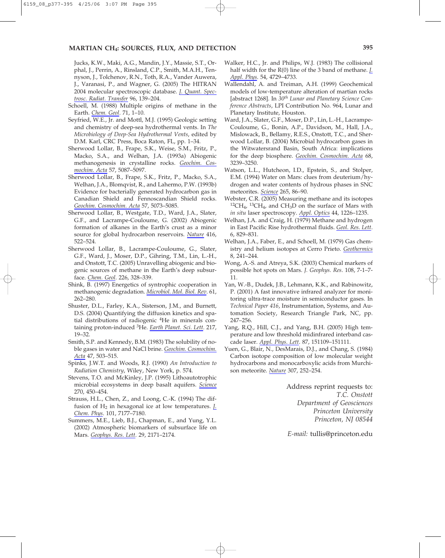Jucks, K.W., Maki, A.G., Mandin, J.Y., Massie, S.T., Orphal, J., Perrin, A., Rinsland, C.P., Smith, M.A.H., Tennyson, J., Tolchenov, R.N., Toth, R.A., Vander Auwera, J., Varanasi, P., and Wagner, G. (2005) The HITRAN 2004 molecular spectroscopic database. *J. Quant. Spectrosc. Radiat. Transfer* 96, 139–204.

- Schoell, M. (1988) Multiple origins of methane in the Earth. *Chem. Geol*. 71, 1–10.
- Seyfried, W.E., Jr. and Mottl, M.J. (1995) Geologic setting and chemistry of deep-sea hydrothermal vents. In *The Microbiology of Deep-Sea Hydrothermal Vents*, edited by D.M. Karl, CRC Press, Boca Raton, FL, pp. 1–34.
- Sherwood Lollar, B., Frape, S.K., Weise, S.M., Fritz, P., Macko, S.A., and Welhan, J.A. (1993a) Abiogenic methanogenesis in crystalline rocks. *Geochim. Cosmochim. Acta* 57, 5087–5097.
- Sherwood Lollar, B., Frape, S.K., Fritz, P., Macko, S.A., Welhan, J.A., Blomqvist, R., and Lahermo, P.W. (1993b) Evidence for bacterially generated hydrocarbon gas in Canadian Shield and Fennoscandian Shield rocks. *Geochim. Cosmochim. Acta* 57, 5073–5085.
- Sherwood Lollar, B., Westgate, T.D., Ward, J.A., Slater, G.F., and Lacrampe-Couloume, G. (2002) Abiogenic formation of alkanes in the Earth's crust as a minor source for global hydrocarbon reservoirs. *Nature* 416, 522–524.
- Sherwood Lollar, B., Lacrampe-Couloume, G., Slater, G.F., Ward, J., Moser, D.P., Gihring, T.M., Lin, L.-H., and Onstott, T.C. (2005) Unravelling abiogenic and biogenic sources of methane in the Earth's deep subsurface. *Chem. Geol*. 226, 328–339.
- Shink, B. (1997) Energetics of syntrophic cooperation in methanogenic degradation. *Microbiol. Mol. Biol. Rev*. 61, 262–280.
- Shuster, D.L., Farley, K.A., Sisterson, J.M., and Burnett, D.S. (2004) Quantifying the diffusion kinetics and spatial distributions of radiogenic 4He in minerals containing proton-induced 3He. *Earth Planet. Sci. Lett.* 217, 19–32.
- Smith, S.P. and Kennedy, B.M. (1983) The solubility of noble gases in water and NaCl brine. *Geochim. Cosmochim. Acta* 47, 503–515.
- Spinks, J.W.T. and Woods, R.J. (1990) *An Introduction to Radiation Chemistry*, Wiley, New York, p. 574.
- Stevens, T.O. and McKinley, J.P. (1995) Lithoautotrophic microbial ecosystems in deep basalt aquifers. *Science* 270, 450–454.
- Strauss, H.L., Chen, Z., and Loong, C.-K. (1994) The diffusion of H2 in hexagonal ice at low temperatures. *J. Chem. Phys*. 101, 7177–7180.
- Summers, M.E., Lieb, B.J., Chapman, E., and Yung, Y.L. (2002) Atmospheric biomarkers of subsurface life on Mars. *Geophys. Res. Lett*. 29, 2171–2174.
- Walker, H.C., Jr. and Philips, W.J. (1983) The collisional half width for the R(0) line of the 3 band of methane. *J. Appl. Phys*. 54, 4729–4733.
- Wallendahl, A. and Treiman, A.H. (1999) Geochemical models of low-temperature alteration of martian rocks [abstract 1268]. In *30th Lunar and Planetary Science Conference Abstracts*, LPI Contribution No. 964, Lunar and Planetary Institute, Houston.
- Ward, J.A., Slater, G.F., Moser, D.P., Lin, L.-H., Lacrampe-Couloume, G., Bonin, A.P., Davidson, M., Hall, J.A., Mislowack, B., Bellamy, R.E.S., Onstott, T.C., and Sherwood Lollar, B. (2004) Microbial hydrocarbon gases in the Witwatersrand Basin, South Africa: implications for the deep biosphere. *Geochim. Cosmochim. Acta* 68, 3239–3250.
- Watson, L.L., Hutcheon, I.D., Epstein, S., and Stolper, E.M. (1994) Water on Mars: clues from deuterium/hydrogen and water contents of hydrous phases in SNC meteorites. *Science* 265, 86–90.
- Webster, C.R. (2005) Measuring methane and its isotopes  ${}^{12}CH_4$ ,  ${}^{13}CH_4$ , and CH<sub>3</sub>D on the surface of Mars with *in situ* laser spectroscopy. *Appl. Optics* 44, 1226–1235.
- Welhan, J.A. and Craig, H. (1979) Methane and hydrogen in East Pacific Rise hydrothermal fluids. *Geol. Res. Lett*. 6, 829–831.
- Welhan, J.A., Faber, E., and Schoell, M. (1979) Gas chemistry and helium isotopes at Cerro Prieto. *Geothermics* 8, 241–244.
- Wong, A.-S. and Atreya, S.K. (2003) Chemical markers of possible hot spots on Mars. *J. Geophys. Res*. 108, 7-1–7- 11.
- Yan, W.-B., Dudek, J.B., Lehmann, K.K., and Rabinowitz, P. (2001) A fast innovative infrared analyzer for monitoring ultra-trace moisture in semiconductor gases. In *Technical Paper 416*, Instrumentation, Systems, and Automation Society, Research Triangle Park, NC, pp. 247–256.
- Yang, R.Q., Hill, C.J., and Yang, B.H. (2005) High temperature and low threshold midinfrared interband cascade laser. *Appl. Phys. Lett*. 87, 151109–151111.
- Yuen, G., Blair, N., DesMarais, D.J., and Chang, S. (1984) Carbon isotope composition of low molecular weight hydrocarbons and monocarboxylic acids from Murchison meteorite. *Nature* 307, 252–254.

Address reprint requests to: *T.C. Onstott Department of Geosciences Princeton University Princeton, NJ 08544*

*E-mail:* tullis@princeton.edu